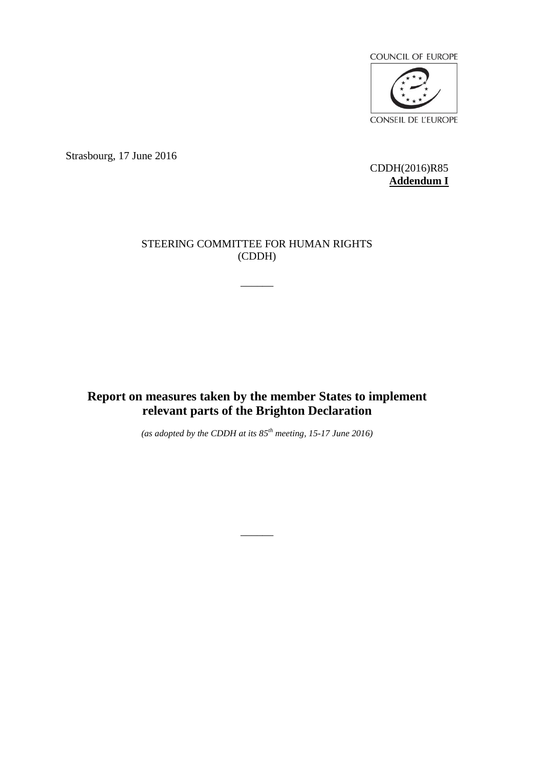

Strasbourg, 17 June 2016

CDDH(2016)R85 **Addendum I**

# STEERING COMMITTEE FOR HUMAN RIGHTS (CDDH)

 $\overline{\phantom{a}}$ 

**Report on measures taken by the member States to implement relevant parts of the Brighton Declaration**

*(as adopted by the CDDH at its 85 th meeting, 15-17 June 2016)*

 $\overline{\phantom{a}}$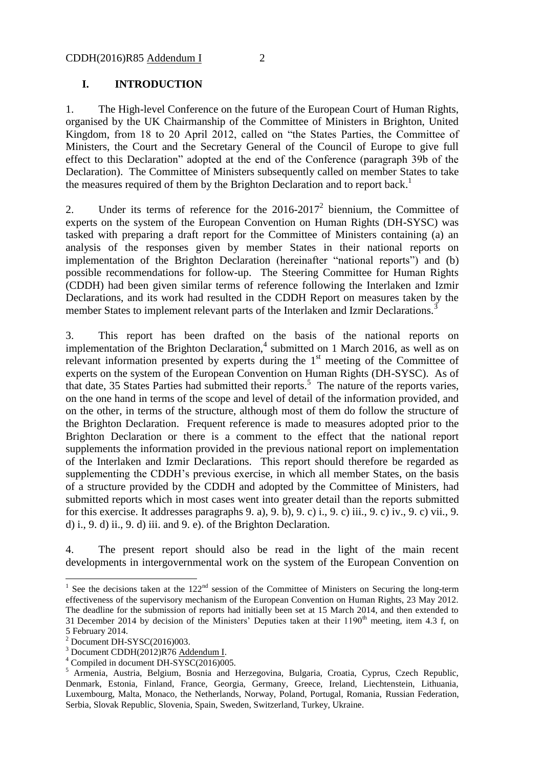### **I. INTRODUCTION**

1. The High-level Conference on the future of the European Court of Human Rights, organised by the UK Chairmanship of the Committee of Ministers in Brighton, United Kingdom, from 18 to 20 April 2012, called on "the States Parties, the Committee of Ministers, the Court and the Secretary General of the Council of Europe to give full effect to this Declaration" adopted at the end of the Conference (paragraph 39b of the Declaration). The Committee of Ministers subsequently called on member States to take the measures required of them by the Brighton Declaration and to report back.<sup>1</sup>

2. Under its terms of reference for the  $2016-2017^2$  biennium, the Committee of experts on the system of the European Convention on Human Rights (DH-SYSC) was tasked with preparing a draft report for the Committee of Ministers containing (a) an analysis of the responses given by member States in their national reports on implementation of the Brighton Declaration (hereinafter "national reports") and (b) possible recommendations for follow-up. The Steering Committee for Human Rights (CDDH) had been given similar terms of reference following the Interlaken and Izmir Declarations, and its work had resulted in the CDDH Report on measures taken by the member States to implement relevant parts of the Interlaken and Izmir Declarations.<sup>3</sup>

3. This report has been drafted on the basis of the national reports on implementation of the Brighton Declaration, $4$  submitted on 1 March 2016, as well as on relevant information presented by experts during the  $1<sup>st</sup>$  meeting of the Committee of experts on the system of the European Convention on Human Rights (DH-SYSC). As of that date, 35 States Parties had submitted their reports.<sup>5</sup> The nature of the reports varies, on the one hand in terms of the scope and level of detail of the information provided, and on the other, in terms of the structure, although most of them do follow the structure of the Brighton Declaration. Frequent reference is made to measures adopted prior to the Brighton Declaration or there is a comment to the effect that the national report supplements the information provided in the previous national report on implementation of the Interlaken and Izmir Declarations. This report should therefore be regarded as supplementing the CDDH's previous exercise, in which all member States, on the basis of a structure provided by the CDDH and adopted by the Committee of Ministers, had submitted reports which in most cases went into greater detail than the reports submitted for this exercise. It addresses paragraphs 9. a), 9. b), 9. c) i., 9. c) iii., 9. c) iv., 9. c) vii., 9. d) i., 9. d) ii., 9. d) iii. and 9. e). of the Brighton Declaration.

4. The present report should also be read in the light of the main recent developments in intergovernmental work on the system of the European Convention on

<sup>&</sup>lt;sup>1</sup> See the decisions taken at the  $122<sup>nd</sup>$  session of the Committee of Ministers on Securing the long-term effectiveness of the supervisory mechanism of the European Convention on Human Rights, 23 May 2012. The deadline for the submission of reports had initially been set at 15 March 2014, and then extended to 31 December 2014 by decision of the Ministers' Deputies taken at their 1190<sup>th</sup> meeting, item 4.3 f, on 5 February 2014.

 $2$  Document DH-SYSC(2016)003.

<sup>3</sup> Document CDDH(2012)R76 Addendum I.

 $4$  Compiled in document DH-S $\overline{YSC(2016)005}$ .

<sup>&</sup>lt;sup>5</sup> Armenia, Austria, Belgium, Bosnia and Herzegovina, Bulgaria, Croatia, Cyprus, Czech Republic, Denmark, Estonia, Finland, France, Georgia, Germany, Greece, Ireland, Liechtenstein, Lithuania, Luxembourg, Malta, Monaco, the Netherlands, Norway, Poland, Portugal, Romania, Russian Federation, Serbia, Slovak Republic, Slovenia, Spain, Sweden, Switzerland, Turkey, Ukraine.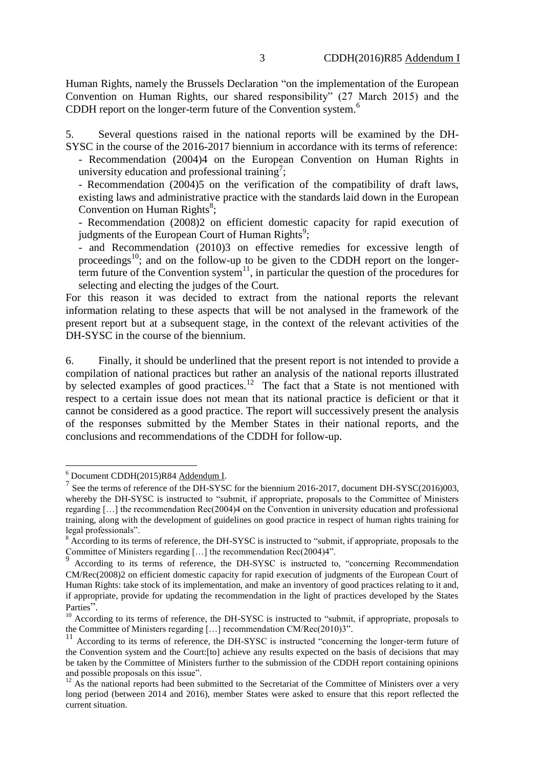Human Rights, namely the Brussels Declaration "on the implementation of the European Convention on Human Rights, our shared responsibility" (27 March 2015) and the CDDH report on the longer-term future of the Convention system. 6

5. Several questions raised in the national reports will be examined by the DH-SYSC in the course of the 2016-2017 biennium in accordance with its terms of reference:

- Recommendation (2004)4 on the European Convention on Human Rights in university education and professional training<sup>7</sup>;

- Recommendation (2004)5 on the verification of the compatibility of draft laws, existing laws and administrative practice with the standards laid down in the European Convention on Human Rights ${}^{8}$ ;

- Recommendation (2008)2 on efficient domestic capacity for rapid execution of judgments of the European Court of Human Rights<sup>9</sup>;

- and Recommendation (2010)3 on effective remedies for excessive length of proceedings<sup>10</sup>; and on the follow-up to be given to the CDDH report on the longerterm future of the Convention system<sup>11</sup>, in particular the question of the procedures for selecting and electing the judges of the Court.

For this reason it was decided to extract from the national reports the relevant information relating to these aspects that will be not analysed in the framework of the present report but at a subsequent stage, in the context of the relevant activities of the DH-SYSC in the course of the biennium.

6. Finally, it should be underlined that the present report is not intended to provide a compilation of national practices but rather an analysis of the national reports illustrated by selected examples of good practices.<sup>12</sup> The fact that a State is not mentioned with respect to a certain issue does not mean that its national practice is deficient or that it cannot be considered as a good practice. The report will successively present the analysis of the responses submitted by the Member States in their national reports, and the conclusions and recommendations of the CDDH for follow-up.

<sup>&</sup>lt;sup>6</sup> Document CDDH(2015)R84 Addendum I.

<sup>&</sup>lt;sup>7</sup> See the terms of reference of the DH-SYSC for the biennium 2016-2017, document DH-SYSC(2016)003, whereby the DH-SYSC is instructed to "submit, if appropriate, proposals to the Committee of Ministers regarding […] the recommendation Rec(2004)4 on the Convention in university education and professional training, along with the development of guidelines on good practice in respect of human rights training for legal professionals".

<sup>&</sup>lt;sup>8</sup> According to its terms of reference, the DH-SYSC is instructed to "submit, if appropriate, proposals to the Committee of Ministers regarding  $[...]$  the recommendation Rec(2004)4".

According to its terms of reference, the DH-SYSC is instructed to, "concerning Recommendation CM/Rec(2008)2 on efficient domestic capacity for rapid execution of judgments of the European Court of Human Rights: take stock of its implementation, and make an inventory of good practices relating to it and, if appropriate, provide for updating the recommendation in the light of practices developed by the States Parties".

 $10$  According to its terms of reference, the DH-SYSC is instructed to "submit, if appropriate, proposals to the Committee of Ministers regarding […] recommendation CM/Rec(2010)3".

<sup>&</sup>lt;sup>11</sup> According to its terms of reference, the DH-SYSC is instructed "concerning the longer-term future of the Convention system and the Court:[to] achieve any results expected on the basis of decisions that may be taken by the Committee of Ministers further to the submission of the CDDH report containing opinions and possible proposals on this issue".

 $12$  As the national reports had been submitted to the Secretariat of the Committee of Ministers over a very long period (between 2014 and 2016), member States were asked to ensure that this report reflected the current situation.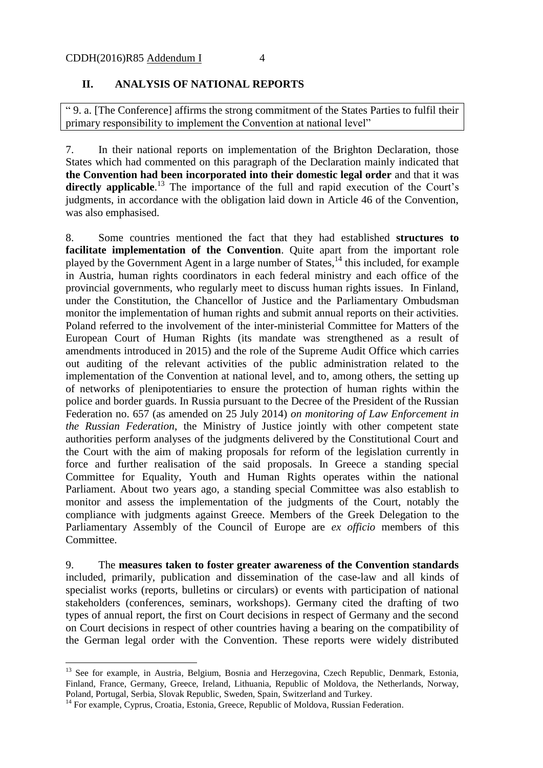#### **II. ANALYSIS OF NATIONAL REPORTS**

" 9. a. [The Conference] affirms the strong commitment of the States Parties to fulfil their primary responsibility to implement the Convention at national level"

7. In their national reports on implementation of the Brighton Declaration, those States which had commented on this paragraph of the Declaration mainly indicated that **the Convention had been incorporated into their domestic legal order** and that it was directly applicable.<sup>13</sup> The importance of the full and rapid execution of the Court's judgments, in accordance with the obligation laid down in Article 46 of the Convention, was also emphasised.

8. Some countries mentioned the fact that they had established **structures to facilitate implementation of the Convention**. Quite apart from the important role played by the Government Agent in a large number of States,<sup>14</sup> this included, for example in Austria, human rights coordinators in each federal ministry and each office of the provincial governments, who regularly meet to discuss human rights issues. In Finland, under the Constitution, the Chancellor of Justice and the Parliamentary Ombudsman monitor the implementation of human rights and submit annual reports on their activities. Poland referred to the involvement of the inter-ministerial Committee for Matters of the European Court of Human Rights (its mandate was strengthened as a result of amendments introduced in 2015) and the role of the Supreme Audit Office which carries out auditing of the relevant activities of the public administration related to the implementation of the Convention at national level, and to, among others, the setting up of networks of plenipotentiaries to ensure the protection of human rights within the police and border guards. In Russia pursuant to the Decree of the President of the Russian Federation no. 657 (as amended on 25 July 2014) *on monitoring of Law Enforcement in the Russian Federation*, the Ministry of Justice jointly with other competent state authorities perform analyses of the judgments delivered by the Constitutional Court and the Court with the aim of making proposals for reform of the legislation currently in force and further realisation of the said proposals. In Greece a standing special Committee for Equality, Youth and Human Rights operates within the national Parliament. About two years ago, a standing special Committee was also establish to monitor and assess the implementation of the judgments of the Court, notably the compliance with judgments against Greece. Members of the Greek Delegation to the Parliamentary Assembly of the Council of Europe are *ex officio* members of this Committee.

9. The **measures taken to foster greater awareness of the Convention standards**  included, primarily, publication and dissemination of the case-law and all kinds of specialist works (reports, bulletins or circulars) or events with participation of national stakeholders (conferences, seminars, workshops). Germany cited the drafting of two types of annual report, the first on Court decisions in respect of Germany and the second on Court decisions in respect of other countries having a bearing on the compatibility of the German legal order with the Convention. These reports were widely distributed

<sup>&</sup>lt;sup>13</sup> See for example, in Austria, Belgium, Bosnia and Herzegovina, Czech Republic, Denmark, Estonia, Finland, France, Germany, Greece, Ireland, Lithuania, Republic of Moldova, the Netherlands, Norway, Poland, Portugal, Serbia, Slovak Republic, Sweden, Spain, Switzerland and Turkey.

<sup>&</sup>lt;sup>14</sup> For example, Cyprus, Croatia, Estonia, Greece, Republic of Moldova, Russian Federation.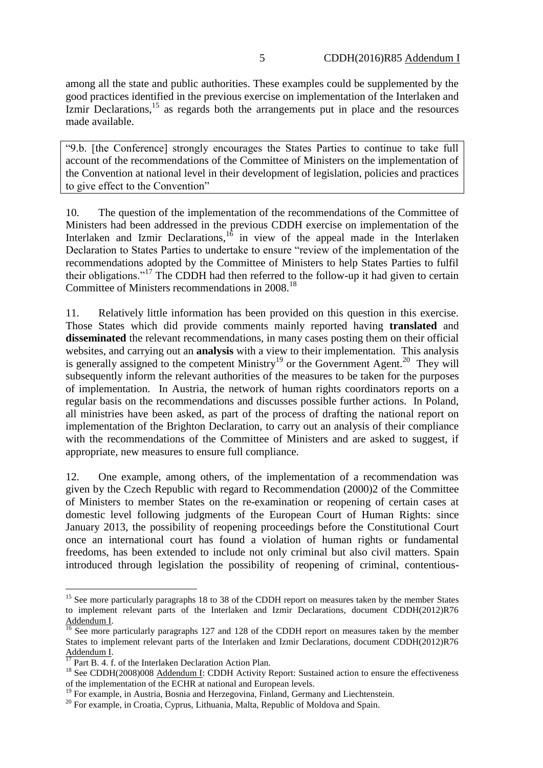among all the state and public authorities. These examples could be supplemented by the good practices identified in the previous exercise on implementation of the Interlaken and  $\text{Izmir}$  Declarations,<sup>15</sup> as regards both the arrangements put in place and the resources made available.

"9.b. [the Conference] strongly encourages the States Parties to continue to take full account of the recommendations of the Committee of Ministers on the implementation of the Convention at national level in their development of legislation, policies and practices to give effect to the Convention"

10. The question of the implementation of the recommendations of the Committee of Ministers had been addressed in the previous CDDH exercise on implementation of the Interlaken and Izmir Declarations, $16$  in view of the appeal made in the Interlaken Declaration to States Parties to undertake to ensure "review of the implementation of the recommendations adopted by the Committee of Ministers to help States Parties to fulfil their obligations."<sup>17</sup> The CDDH had then referred to the follow-up it had given to certain Committee of Ministers recommendations in 2008.<sup>18</sup>

11. Relatively little information has been provided on this question in this exercise. Those States which did provide comments mainly reported having **translated** and **disseminated** the relevant recommendations, in many cases posting them on their official websites, and carrying out an **analysis** with a view to their implementation. This analysis is generally assigned to the competent Ministry<sup>19</sup> or the Government Agent.<sup>20</sup> They will subsequently inform the relevant authorities of the measures to be taken for the purposes of implementation. In Austria, the network of human rights coordinators reports on a regular basis on the recommendations and discusses possible further actions. In Poland, all ministries have been asked, as part of the process of drafting the national report on implementation of the Brighton Declaration, to carry out an analysis of their compliance with the recommendations of the Committee of Ministers and are asked to suggest, if appropriate, new measures to ensure full compliance.

12. One example, among others, of the implementation of a recommendation was given by the Czech Republic with regard to Recommendation (2000)2 of the Committee of Ministers to member States on the re-examination or reopening of certain cases at domestic level following judgments of the European Court of Human Rights: since January 2013, the possibility of reopening proceedings before the Constitutional Court once an international court has found a violation of human rights or fundamental freedoms, has been extended to include not only criminal but also civil matters. Spain introduced through legislation the possibility of reopening of criminal, contentious-

<sup>&</sup>lt;u>.</u> <sup>15</sup> See more particularly paragraphs 18 to 38 of the CDDH report on measures taken by the member States to implement relevant parts of the Interlaken and Izmir Declarations, document CDDH(2012)R76 Addendum I.

 $\frac{16}{16}$  See more particularly paragraphs 127 and 128 of the CDDH report on measures taken by the member States to implement relevant parts of the Interlaken and Izmir Declarations, document CDDH(2012)R76  $\frac{\text{Addendum I}}{17}$ .

 $\sqrt{7}$  Part B. 4. f. of the Interlaken Declaration Action Plan.

<sup>&</sup>lt;sup>18</sup> See CDDH(2008)008 Addendum I: CDDH Activity Report: Sustained action to ensure the effectiveness of the implementation of the ECHR at national and European levels.

<sup>&</sup>lt;sup>19</sup> For example, in Austria, Bosnia and Herzegovina, Finland, Germany and Liechtenstein.

<sup>&</sup>lt;sup>20</sup> For example, in Croatia, Cyprus, Lithuania, Malta, Republic of Moldova and Spain.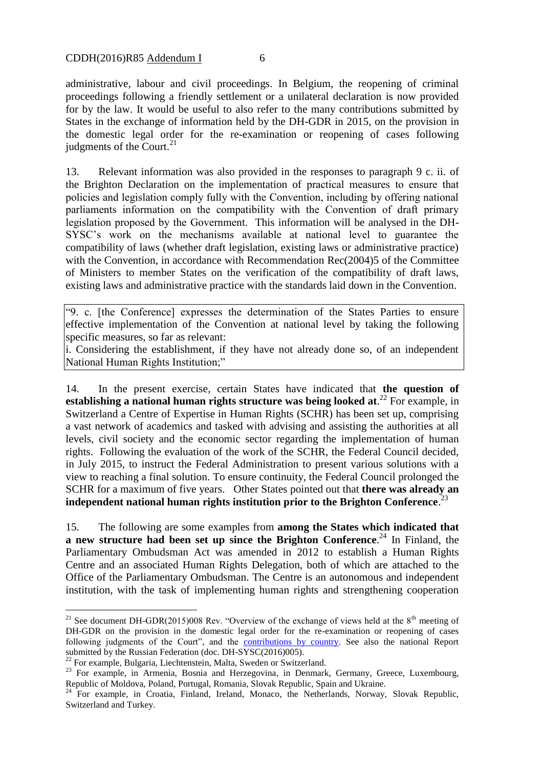administrative, labour and civil proceedings. In Belgium, the reopening of criminal proceedings following a friendly settlement or a unilateral declaration is now provided for by the law. It would be useful to also refer to the many contributions submitted by States in the exchange of information held by the DH-GDR in 2015, on the provision in the domestic legal order for the re-examination or reopening of cases following judgments of the Court.<sup>21</sup>

13. Relevant information was also provided in the responses to paragraph 9 c. ii. of the Brighton Declaration on the implementation of practical measures to ensure that policies and legislation comply fully with the Convention, including by offering national parliaments information on the compatibility with the Convention of draft primary legislation proposed by the Government. This information will be analysed in the DH-SYSC's work on the mechanisms available at national level to guarantee the compatibility of laws (whether draft legislation, existing laws or administrative practice) with the Convention, in accordance with Recommendation Rec(2004)5 of the Committee of Ministers to member States on the verification of the compatibility of draft laws, existing laws and administrative practice with the standards laid down in the Convention.

"9. c. [the Conference] expresses the determination of the States Parties to ensure effective implementation of the Convention at national level by taking the following specific measures, so far as relevant:

i. Considering the establishment, if they have not already done so, of an independent National Human Rights Institution;"

14. In the present exercise, certain States have indicated that **the question of establishing a national human rights structure was being looked at**. <sup>22</sup> For example, in Switzerland a Centre of Expertise in Human Rights (SCHR) has been set up, comprising a vast network of academics and tasked with advising and assisting the authorities at all levels, civil society and the economic sector regarding the implementation of human rights. Following the evaluation of the work of the SCHR, the Federal Council decided, in July 2015, to instruct the Federal Administration to present various solutions with a view to reaching a final solution. To ensure continuity, the Federal Council prolonged the SCHR for a maximum of five years. Other States pointed out that **there was already an independent national human rights institution prior to the Brighton Conference**. 23

15. The following are some examples from **among the States which indicated that a new structure had been set up since the Brighton Conference**. <sup>24</sup> In Finland, the Parliamentary Ombudsman Act was amended in 2012 to establish a Human Rights Centre and an associated Human Rights Delegation, both of which are attached to the Office of the Parliamentary Ombudsman. The Centre is an autonomous and independent institution, with the task of implementing human rights and strengthening cooperation

<sup>&</sup>lt;sup>21</sup> See document DH-GDR(2015)008 Rev. "Overview of the exchange of views held at the  $8<sup>th</sup>$  meeting of DH-GDR on the provision in the domestic legal order for the re-examination or reopening of cases following judgments of the Court", and the [contributions by country.](http://www.coe.int/t/dghl/standardsetting/cddh/reformechr/reopening-EN.asp?) See also the national Report submitted by the Russian Federation (doc. DH-SYSC(2016)005).

 $^{22}$  For example, Bulgaria, Liechtenstein, Malta, Sweden or Switzerland.

<sup>&</sup>lt;sup>23</sup> For example, in Armenia, Bosnia and Herzegovina, in Denmark, Germany, Greece, Luxembourg, Republic of Moldova, Poland, Portugal, Romania, Slovak Republic, Spain and Ukraine.

<sup>&</sup>lt;sup>24</sup> For example, in Croatia, Finland, Ireland, Monaco, the Netherlands, Norway, Slovak Republic, Switzerland and Turkey.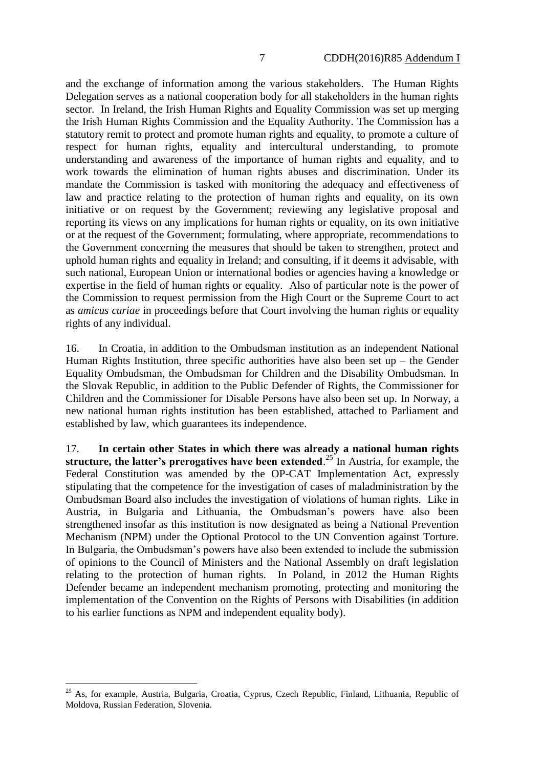and the exchange of information among the various stakeholders. The Human Rights Delegation serves as a national cooperation body for all stakeholders in the human rights sector. In Ireland, the Irish Human Rights and Equality Commission was set up merging the Irish Human Rights Commission and the Equality Authority. The Commission has a statutory remit to protect and promote human rights and equality, to promote a culture of respect for human rights, equality and intercultural understanding, to promote understanding and awareness of the importance of human rights and equality, and to work towards the elimination of human rights abuses and discrimination. Under its mandate the Commission is tasked with monitoring the adequacy and effectiveness of law and practice relating to the protection of human rights and equality, on its own initiative or on request by the Government; reviewing any legislative proposal and reporting its views on any implications for human rights or equality, on its own initiative or at the request of the Government; formulating, where appropriate, recommendations to the Government concerning the measures that should be taken to strengthen, protect and uphold human rights and equality in Ireland; and consulting, if it deems it advisable, with such national, European Union or international bodies or agencies having a knowledge or expertise in the field of human rights or equality. Also of particular note is the power of the Commission to request permission from the High Court or the Supreme Court to act as *amicus curiae* in proceedings before that Court involving the human rights or equality rights of any individual.

16. In Croatia, in addition to the Ombudsman institution as an independent National Human Rights Institution, three specific authorities have also been set up  $-$  the Gender Equality Ombudsman, the Ombudsman for Children and the Disability Ombudsman. In the Slovak Republic, in addition to the Public Defender of Rights, the Commissioner for Children and the Commissioner for Disable Persons have also been set up. In Norway, a new national human rights institution has been established, attached to Parliament and established by law, which guarantees its independence.

17. **In certain other States in which there was already a national human rights**  structure, the latter's prerogatives have been extended.<sup>25</sup> In Austria, for example, the Federal Constitution was amended by the OP-CAT Implementation Act, expressly stipulating that the competence for the investigation of cases of maladministration by the Ombudsman Board also includes the investigation of violations of human rights. Like in Austria, in Bulgaria and Lithuania, the Ombudsman's powers have also been strengthened insofar as this institution is now designated as being a National Prevention Mechanism (NPM) under the Optional Protocol to the UN Convention against Torture. In Bulgaria, the Ombudsman's powers have also been extended to include the submission of opinions to the Council of Ministers and the National Assembly on draft legislation relating to the protection of human rights. In Poland, in 2012 the Human Rights Defender became an independent mechanism promoting, protecting and monitoring the implementation of the Convention on the Rights of Persons with Disabilities (in addition to his earlier functions as NPM and independent equality body).

<sup>&</sup>lt;sup>25</sup> As. for example. Austria, Bulgaria, Croatia, Cyprus, Czech Republic, Finland, Lithuania, Republic of Moldova, Russian Federation, Slovenia.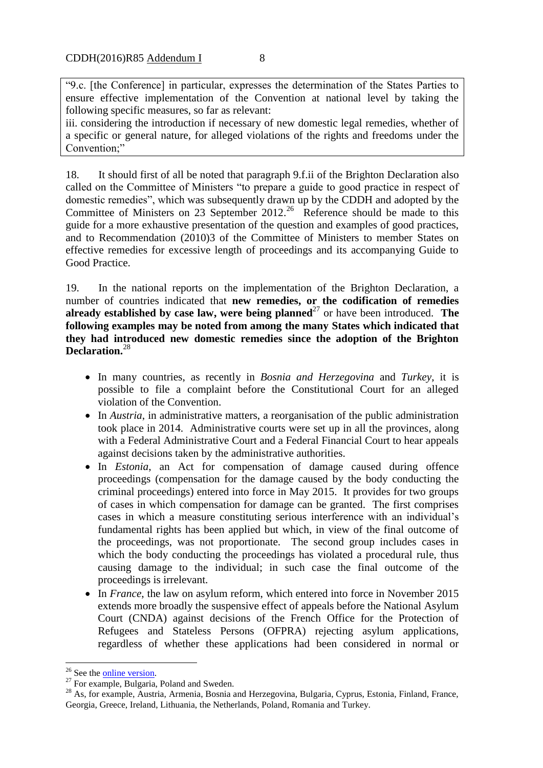"9.c. [the Conference] in particular, expresses the determination of the States Parties to ensure effective implementation of the Convention at national level by taking the following specific measures, so far as relevant:

iii. considering the introduction if necessary of new domestic legal remedies, whether of a specific or general nature, for alleged violations of the rights and freedoms under the Convention;"

18. It should first of all be noted that paragraph 9.f.ii of the Brighton Declaration also called on the Committee of Ministers "to prepare a guide to good practice in respect of domestic remedies", which was subsequently drawn up by the CDDH and adopted by the Committee of Ministers on 23 September  $2012<sup>26</sup>$  Reference should be made to this guide for a more exhaustive presentation of the question and examples of good practices, and to Recommendation (2010)3 of the Committee of Ministers to member States on effective remedies for excessive length of proceedings and its accompanying Guide to Good Practice.

19. In the national reports on the implementation of the Brighton Declaration, a number of countries indicated that **new remedies, or the codification of remedies already established by case law, were being planned**<sup>27</sup> or have been introduced. The **following examples may be noted from among the many States which indicated that they had introduced new domestic remedies since the adoption of the Brighton Declaration.** 28

- In many countries, as recently in *Bosnia and Herzegovina* and *Turkey*, it is possible to file a complaint before the Constitutional Court for an alleged violation of the Convention.
- In *Austria*, in administrative matters, a reorganisation of the public administration took place in 2014. Administrative courts were set up in all the provinces, along with a Federal Administrative Court and a Federal Financial Court to hear appeals against decisions taken by the administrative authorities.
- In *Estonia*, an Act for compensation of damage caused during offence proceedings (compensation for the damage caused by the body conducting the criminal proceedings) entered into force in May 2015. It provides for two groups of cases in which compensation for damage can be granted. The first comprises cases in which a measure constituting serious interference with an individual's fundamental rights has been applied but which, in view of the final outcome of the proceedings, was not proportionate. The second group includes cases in which the body conducting the proceedings has violated a procedural rule, thus causing damage to the individual; in such case the final outcome of the proceedings is irrelevant.
- In *France*, the law on asylum reform, which entered into force in November 2015 extends more broadly the suspensive effect of appeals before the National Asylum Court (CNDA) against decisions of the French Office for the Protection of Refugees and Stateless Persons (OFPRA) rejecting asylum applications, regardless of whether these applications had been considered in normal or

<sup>&</sup>lt;sup>26</sup> See the **online version**.

<sup>&</sup>lt;sup>27</sup> For example, Bulgaria, Poland and Sweden.

<sup>&</sup>lt;sup>28</sup> As, for example, Austria, Armenia, Bosnia and Herzegovina, Bulgaria, Cyprus, Estonia, Finland, France, Georgia, Greece, Ireland, Lithuania, the Netherlands, Poland, Romania and Turkey.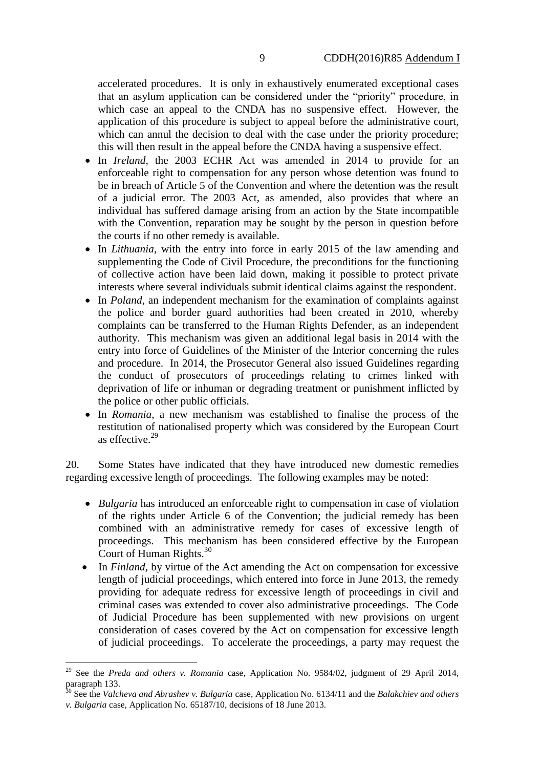accelerated procedures. It is only in exhaustively enumerated exceptional cases that an asylum application can be considered under the "priority" procedure, in which case an appeal to the CNDA has no suspensive effect. However, the application of this procedure is subject to appeal before the administrative court, which can annul the decision to deal with the case under the priority procedure; this will then result in the appeal before the CNDA having a suspensive effect.

- In *Ireland*, the 2003 ECHR Act was amended in 2014 to provide for an enforceable right to compensation for any person whose detention was found to be in breach of Article 5 of the Convention and where the detention was the result of a judicial error. The 2003 Act, as amended, also provides that where an individual has suffered damage arising from an action by the State incompatible with the Convention, reparation may be sought by the person in question before the courts if no other remedy is available.
- In *Lithuania*, with the entry into force in early 2015 of the law amending and supplementing the Code of Civil Procedure, the preconditions for the functioning of collective action have been laid down, making it possible to protect private interests where several individuals submit identical claims against the respondent.
- In *Poland*, an independent mechanism for the examination of complaints against the police and border guard authorities had been created in 2010, whereby complaints can be transferred to the Human Rights Defender, as an independent authority. This mechanism was given an additional legal basis in 2014 with the entry into force of Guidelines of the Minister of the Interior concerning the rules and procedure. In 2014, the Prosecutor General also issued Guidelines regarding the conduct of prosecutors of proceedings relating to crimes linked with deprivation of life or inhuman or degrading treatment or punishment inflicted by the police or other public officials.
- In *Romania*, a new mechanism was established to finalise the process of the restitution of nationalised property which was considered by the European Court as effective.<sup>29</sup>

20. Some States have indicated that they have introduced new domestic remedies regarding excessive length of proceedings. The following examples may be noted:

- *Bulgaria* has introduced an enforceable right to compensation in case of violation of the rights under Article 6 of the Convention; the judicial remedy has been combined with an administrative remedy for cases of excessive length of proceedings. This mechanism has been considered effective by the European Court of Human Rights.<sup>30</sup>
- In *Finland*, by virtue of the Act amending the Act on compensation for excessive length of judicial proceedings, which entered into force in June 2013, the remedy providing for adequate redress for excessive length of proceedings in civil and criminal cases was extended to cover also administrative proceedings. The Code of Judicial Procedure has been supplemented with new provisions on urgent consideration of cases covered by the Act on compensation for excessive length of judicial proceedings. To accelerate the proceedings, a party may request the

<sup>29</sup> See the *Preda and others v. Romania* case, Application No. 9584/02, judgment of 29 April 2014, paragraph 133.

<sup>30</sup> See the *Valcheva and Abrashev v. Bulgaria* case*,* Application No. 6134/11 and the *Balakchiev and others v. Bulgaria* case, Application No. 65187/10, decisions of 18 June 2013.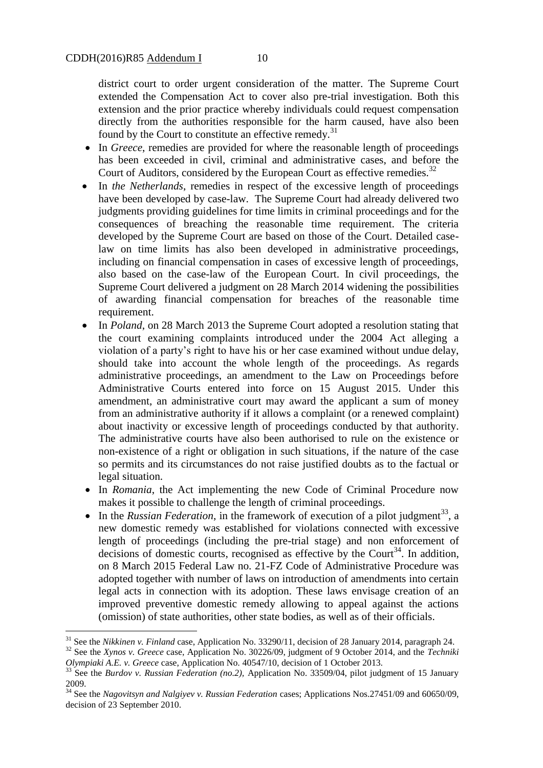district court to order urgent consideration of the matter. The Supreme Court extended the Compensation Act to cover also pre-trial investigation. Both this extension and the prior practice whereby individuals could request compensation directly from the authorities responsible for the harm caused, have also been found by the Court to constitute an effective remedy.<sup>31</sup>

- In *Greece*, remedies are provided for where the reasonable length of proceedings has been exceeded in civil, criminal and administrative cases, and before the Court of Auditors, considered by the European Court as effective remedies.<sup>32</sup>
- In *the Netherlands*, remedies in respect of the excessive length of proceedings have been developed by case-law. The Supreme Court had already delivered two judgments providing guidelines for time limits in criminal proceedings and for the consequences of breaching the reasonable time requirement. The criteria developed by the Supreme Court are based on those of the Court. Detailed caselaw on time limits has also been developed in administrative proceedings, including on financial compensation in cases of excessive length of proceedings, also based on the case-law of the European Court. In civil proceedings, the Supreme Court delivered a judgment on 28 March 2014 widening the possibilities of awarding financial compensation for breaches of the reasonable time requirement.
- In *Poland*, on 28 March 2013 the Supreme Court adopted a resolution stating that the court examining complaints introduced under the 2004 Act alleging a violation of a party's right to have his or her case examined without undue delay, should take into account the whole length of the proceedings. As regards administrative proceedings, an amendment to the Law on Proceedings before Administrative Courts entered into force on 15 August 2015. Under this amendment, an administrative court may award the applicant a sum of money from an administrative authority if it allows a complaint (or a renewed complaint) about inactivity or excessive length of proceedings conducted by that authority. The administrative courts have also been authorised to rule on the existence or non-existence of a right or obligation in such situations, if the nature of the case so permits and its circumstances do not raise justified doubts as to the factual or legal situation.
- In *Romania*, the Act implementing the new Code of Criminal Procedure now makes it possible to challenge the length of criminal proceedings.
- $\bullet$  In the *Russian Federation*, in the framework of execution of a pilot judgment<sup>33</sup>, a new domestic remedy was established for violations connected with excessive length of proceedings (including the pre-trial stage) and non enforcement of decisions of domestic courts, recognised as effective by the Court<sup>34</sup>. In addition, on 8 March 2015 Federal Law no. 21-FZ Code of Administrative Procedure was adopted together with number of laws on introduction of amendments into certain legal acts in connection with its adoption. These laws envisage creation of an improved preventive domestic remedy allowing to appeal against the actions (omission) of state authorities, other state bodies, as well as of their officials.

<sup>31</sup> See the *Nikkinen v. Finland* case, Application No. 33290/11, decision of 28 January 2014, paragraph 24. <sup>32</sup> See the *Xynos v. Greece* case, Application No. 30226/09, judgment of 9 October 2014, and the *Techniki* 

*Olympiaki A.E. v. Greece* case, Application No. 40547/10, decision of 1 October 2013.

<sup>&</sup>lt;sup>33</sup> See the *Burdov v. Russian Federation (no.2)*, Application No. 33509/04, pilot judgment of 15 January 2009.

<sup>34</sup> See the *Nagovitsyn and Nalgiyev v. Russian Federation* cases; Applications Nos.27451/09 and 60650/09, decision of 23 September 2010.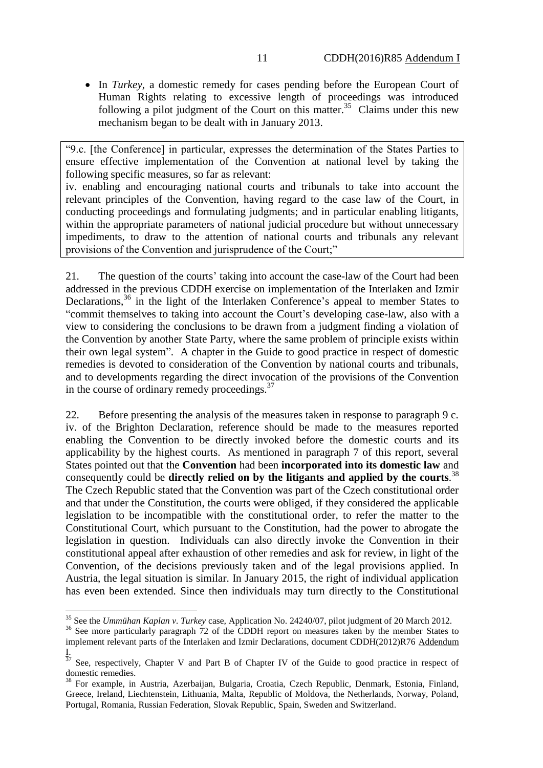• In *Turkey*, a domestic remedy for cases pending before the European Court of Human Rights relating to excessive length of proceedings was introduced following a pilot judgment of the Court on this matter.<sup>35</sup> Claims under this new mechanism began to be dealt with in January 2013.

"9.c. [the Conference] in particular, expresses the determination of the States Parties to ensure effective implementation of the Convention at national level by taking the following specific measures, so far as relevant:

iv. enabling and encouraging national courts and tribunals to take into account the relevant principles of the Convention, having regard to the case law of the Court, in conducting proceedings and formulating judgments; and in particular enabling litigants, within the appropriate parameters of national judicial procedure but without unnecessary impediments, to draw to the attention of national courts and tribunals any relevant provisions of the Convention and jurisprudence of the Court;"

21. The question of the courts' taking into account the case-law of the Court had been addressed in the previous CDDH exercise on implementation of the Interlaken and Izmir Declarations,<sup>36</sup> in the light of the Interlaken Conference's appeal to member States to "commit themselves to taking into account the Court's developing case-law, also with a view to considering the conclusions to be drawn from a judgment finding a violation of the Convention by another State Party, where the same problem of principle exists within their own legal system". A chapter in the Guide to good practice in respect of domestic remedies is devoted to consideration of the Convention by national courts and tribunals, and to developments regarding the direct invocation of the provisions of the Convention in the course of ordinary remedy proceedings.<sup>37</sup>

22. Before presenting the analysis of the measures taken in response to paragraph 9 c. iv. of the Brighton Declaration, reference should be made to the measures reported enabling the Convention to be directly invoked before the domestic courts and its applicability by the highest courts. As mentioned in paragraph 7 of this report, several States pointed out that the **Convention** had been **incorporated into its domestic law** and consequently could be **directly relied on by the litigants and applied by the courts**. 38 The Czech Republic stated that the Convention was part of the Czech constitutional order and that under the Constitution, the courts were obliged, if they considered the applicable legislation to be incompatible with the constitutional order, to refer the matter to the Constitutional Court, which pursuant to the Constitution, had the power to abrogate the legislation in question. Individuals can also directly invoke the Convention in their constitutional appeal after exhaustion of other remedies and ask for review, in light of the Convention, of the decisions previously taken and of the legal provisions applied. In Austria, the legal situation is similar. In January 2015, the right of individual application has even been extended. Since then individuals may turn directly to the Constitutional

<sup>35</sup> See the *Ummühan Kaplan v. Turkey* case*,* Application No. 24240/07, pilot judgment of 20 March 2012.

<sup>&</sup>lt;sup>36</sup> See more particularly paragraph 72 of the CDDH report on measures taken by the member States to implement relevant parts of the Interlaken and Izmir Declarations, document CDDH(2012)R76 Addendum I.

 $37$  See, respectively, Chapter V and Part B of Chapter IV of the Guide to good practice in respect of domestic remedies.

<sup>38</sup> For example, in Austria, Azerbaijan, Bulgaria, Croatia, Czech Republic, Denmark, Estonia, Finland, Greece, Ireland, Liechtenstein, Lithuania, Malta, Republic of Moldova, the Netherlands, Norway, Poland, Portugal, Romania, Russian Federation, Slovak Republic, Spain, Sweden and Switzerland.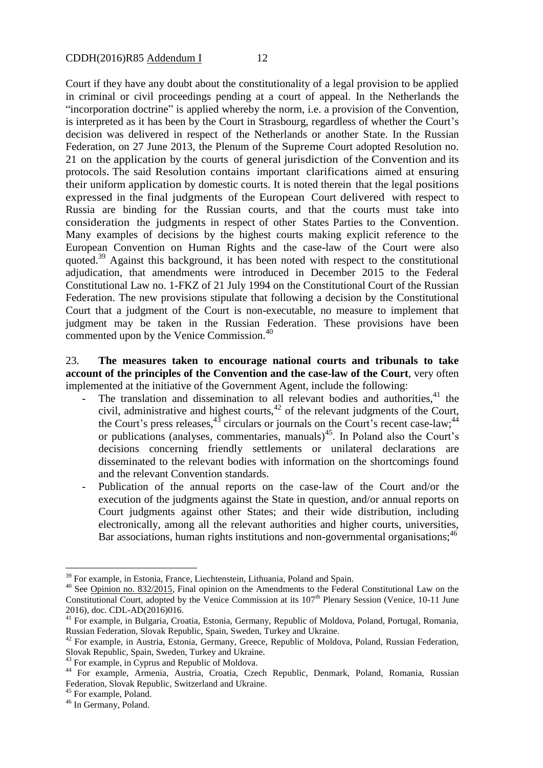Court if they have any doubt about the constitutionality of a legal provision to be applied in criminal or civil proceedings pending at a court of appeal. In the Netherlands the "incorporation doctrine" is applied whereby the norm, i.e. a provision of the Convention, is interpreted as it has been by the Court in Strasbourg, regardless of whether the Court's decision was delivered in respect of the Netherlands or another State. In the Russian Federation, on 27 June 2013, the Plenum of the Supreme Court adopted Resolution no. 21 on the application by the courts of general jurisdiction of the Convention and its protocols. The said Resolution contains important clarifications aimed at ensuring their uniform application by domestic courts. It is noted therein that the legal positions expressed in the final judgments of the European Court delivered with respect to Russia are binding for the Russian courts, and that the courts must take into consideration the judgments in respect of other States Parties to the Convention. Many examples of decisions by the highest courts making explicit reference to the European Convention on Human Rights and the case-law of the Court were also quoted.<sup>39</sup> Against this background, it has been noted with respect to the constitutional adjudication, that amendments were introduced in December 2015 to the Federal Constitutional Law no. 1-FKZ of 21 July 1994 on the Constitutional Court of the Russian Federation. The new provisions stipulate that following a decision by the Constitutional Court that a judgment of the Court is non-executable, no measure to implement that judgment may be taken in the Russian Federation. These provisions have been commented upon by the Venice Commission.<sup>40</sup>

23. **The measures taken to encourage national courts and tribunals to take account of the principles of the Convention and the case-law of the Court**, very often implemented at the initiative of the Government Agent, include the following:

- The translation and dissemination to all relevant bodies and authorities,  $41$  the civil, administrative and highest courts,<sup>42</sup> of the relevant judgments of the Court, the Court's press releases,  $43$  circulars or journals on the Court's recent case-law;  $44$ or publications (analyses, commentaries, manuals)<sup>45</sup>. In Poland also the Court's decisions concerning friendly settlements or unilateral declarations are disseminated to the relevant bodies with information on the shortcomings found and the relevant Convention standards.
- Publication of the annual reports on the case-law of the Court and/or the execution of the judgments against the State in question, and/or annual reports on Court judgments against other States; and their wide distribution, including electronically, among all the relevant authorities and higher courts, universities, Bar associations, human rights institutions and non-governmental organisations;<sup>46</sup>

<sup>&</sup>lt;sup>39</sup> For example, in Estonia, France, Liechtenstein, Lithuania, Poland and Spain.

<sup>&</sup>lt;sup>40</sup> See [Opinion no. 832/2015,](http://www.venice.coe.int/webforms/documents/?pdf=CDL-AD(2016)016-e) Final opinion on the Amendments to the Federal Constitutional Law on the Constitutional Court, adopted by the Venice Commission at its 107<sup>th</sup> Plenary Session (Venice, 10-11 June 2016), doc. CDL-AD(2016)016.

<sup>&</sup>lt;sup>41</sup> For example, in Bulgaria, Croatia, Estonia, Germany, Republic of Moldova, Poland, Portugal, Romania, Russian Federation, Slovak Republic, Spain, Sweden, Turkey and Ukraine.

<sup>&</sup>lt;sup>42</sup> For example, in Austria, Estonia, Germany, Greece, Republic of Moldova, Poland, Russian Federation, Slovak Republic, Spain, Sweden, Turkey and Ukraine.

<sup>&</sup>lt;sup>43</sup> For example, in Cyprus and Republic of Moldova.

<sup>44</sup> For example, Armenia, Austria, Croatia, Czech Republic, Denmark, Poland, Romania, Russian Federation, Slovak Republic, Switzerland and Ukraine.

<sup>&</sup>lt;sup>45</sup> For example, Poland.

<sup>&</sup>lt;sup>46</sup> In Germany, Poland.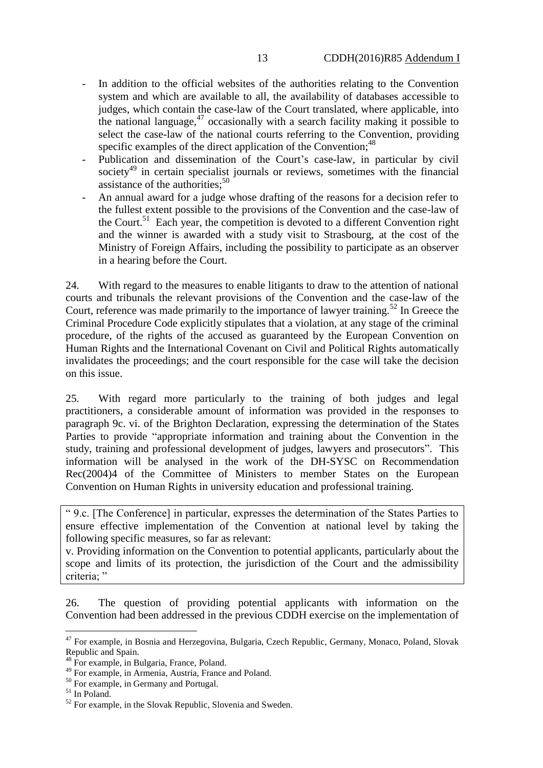- In addition to the official websites of the authorities relating to the Convention system and which are available to all, the availability of databases accessible to judges, which contain the case-law of the Court translated, where applicable, into the national language, $47$  occasionally with a search facility making it possible to select the case-law of the national courts referring to the Convention, providing specific examples of the direct application of the Convention;  $48$
- Publication and dissemination of the Court's case-law, in particular by civil society<sup>49</sup> in certain specialist journals or reviews, sometimes with the financial assistance of the authorities; $50$
- An annual award for a judge whose drafting of the reasons for a decision refer to the fullest extent possible to the provisions of the Convention and the case-law of the Court.<sup>51</sup> Each year, the competition is devoted to a different Convention right and the winner is awarded with a study visit to Strasbourg, at the cost of the Ministry of Foreign Affairs, including the possibility to participate as an observer in a hearing before the Court.

24. With regard to the measures to enable litigants to draw to the attention of national courts and tribunals the relevant provisions of the Convention and the case-law of the Court, reference was made primarily to the importance of lawyer training.<sup>52</sup> In Greece the Criminal Procedure Code explicitly stipulates that a violation, at any stage of the criminal procedure, of the rights of the accused as guaranteed by the European Convention on Human Rights and the International Covenant on Civil and Political Rights automatically invalidates the proceedings; and the court responsible for the case will take the decision on this issue.

25. With regard more particularly to the training of both judges and legal practitioners, a considerable amount of information was provided in the responses to paragraph 9c. vi. of the Brighton Declaration, expressing the determination of the States Parties to provide "appropriate information and training about the Convention in the study, training and professional development of judges, lawyers and prosecutors". This information will be analysed in the work of the DH-SYSC on Recommendation Rec(2004)4 of the Committee of Ministers to member States on the European Convention on Human Rights in university education and professional training.

" 9.c. [The Conference] in particular, expresses the determination of the States Parties to ensure effective implementation of the Convention at national level by taking the following specific measures, so far as relevant:

v. Providing information on the Convention to potential applicants, particularly about the scope and limits of its protection, the jurisdiction of the Court and the admissibility criteria: "

26. The question of providing potential applicants with information on the Convention had been addressed in the previous CDDH exercise on the implementation of

<sup>&</sup>lt;sup>47</sup> For example, in Bosnia and Herzegovina, Bulgaria, Czech Republic, Germany, Monaco, Poland, Slovak Republic and Spain.

<sup>&</sup>lt;sup>48</sup> For example, in Bulgaria, France, Poland.

<sup>49</sup> For example, in Armenia, Austria, France and Poland.

<sup>50</sup> For example, in Germany and Portugal.

<sup>51</sup> In Poland.

<sup>&</sup>lt;sup>52</sup> For example, in the Slovak Republic, Slovenia and Sweden.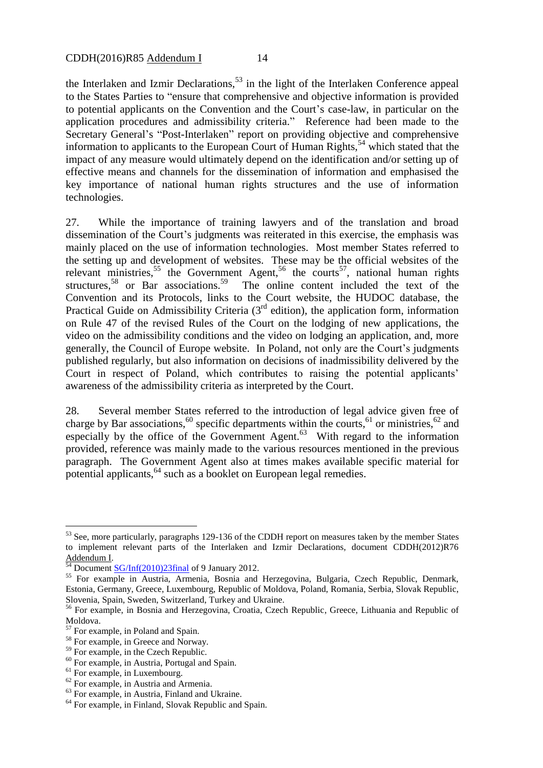the Interlaken and Izmir Declarations,  $53$  in the light of the Interlaken Conference appeal to the States Parties to "ensure that comprehensive and objective information is provided to potential applicants on the Convention and the Court's case-law, in particular on the application procedures and admissibility criteria." Reference had been made to the Secretary General's "Post-Interlaken" report on providing objective and comprehensive information to applicants to the European Court of Human Rights, $54$  which stated that the impact of any measure would ultimately depend on the identification and/or setting up of effective means and channels for the dissemination of information and emphasised the key importance of national human rights structures and the use of information technologies.

27. While the importance of training lawyers and of the translation and broad dissemination of the Court's judgments was reiterated in this exercise, the emphasis was mainly placed on the use of information technologies. Most member States referred to the setting up and development of websites. These may be the official websites of the relevant ministries,<sup>55</sup> the Government Agent,<sup>56</sup> the courts<sup>57</sup>, national human rights structures,<sup>58</sup> or Bar associations.<sup>59</sup> The online content included the text of the Convention and its Protocols, links to the Court website, the HUDOC database, the Practical Guide on Admissibility Criteria  $(3<sup>rd</sup>$  edition), the application form, information on Rule 47 of the revised Rules of the Court on the lodging of new applications, the video on the admissibility conditions and the video on lodging an application, and, more generally, the Council of Europe website. In Poland, not only are the Court's judgments published regularly, but also information on decisions of inadmissibility delivered by the Court in respect of Poland, which contributes to raising the potential applicants' awareness of the admissibility criteria as interpreted by the Court.

28. Several member States referred to the introduction of legal advice given free of charge by Bar associations,<sup>60</sup> specific departments within the courts,<sup>61</sup> or ministries,<sup>62</sup> and especially by the office of the Government Agent.<sup>63</sup> With regard to the information provided, reference was mainly made to the various resources mentioned in the previous paragraph. The Government Agent also at times makes available specific material for potential applicants,<sup>64</sup> such as a booklet on European legal remedies.

<sup>&</sup>lt;sup>53</sup> See, more particularly, paragraphs 129-136 of the CDDH report on measures taken by the member States to implement relevant parts of the Interlaken and Izmir Declarations, document CDDH(2012)R76 Addendum I.

 $^{54}$  Document  $SG/Inf(2010)23final$  of 9 January 2012.

<sup>&</sup>lt;sup>55</sup> For example in Austria, Armenia, Bosnia and Herzegovina, Bulgaria, Czech Republic, Denmark, Estonia, Germany, Greece, Luxembourg, Republic of Moldova, Poland, Romania, Serbia, Slovak Republic, Slovenia, Spain, Sweden, Switzerland, Turkey and Ukraine.

<sup>56</sup> For example, in Bosnia and Herzegovina, Croatia, Czech Republic, Greece, Lithuania and Republic of Moldova.

<sup>57</sup> For example, in Poland and Spain.

<sup>&</sup>lt;sup>58</sup> For example, in Greece and Norway.

<sup>&</sup>lt;sup>59</sup> For example, in the Czech Republic.

<sup>60</sup> For example, in Austria, Portugal and Spain.

<sup>&</sup>lt;sup>61</sup> For example, in Luxembourg.

<sup>62</sup> For example, in Austria and Armenia.

<sup>63</sup> For example, in Austria, Finland and Ukraine.

<sup>&</sup>lt;sup>64</sup> For example, in Finland, Slovak Republic and Spain.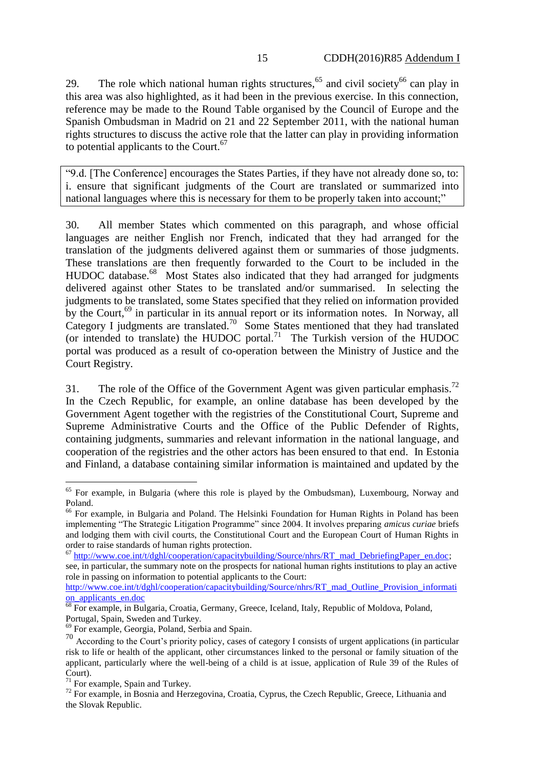29. The role which national human rights structures,<sup>65</sup> and civil society<sup>66</sup> can play in this area was also highlighted, as it had been in the previous exercise. In this connection, reference may be made to the Round Table organised by the Council of Europe and the Spanish Ombudsman in Madrid on 21 and 22 September 2011, with the national human rights structures to discuss the active role that the latter can play in providing information to potential applicants to the Court. $67$ 

"9.d. [The Conference] encourages the States Parties, if they have not already done so, to: i. ensure that significant judgments of the Court are translated or summarized into national languages where this is necessary for them to be properly taken into account;"

30. All member States which commented on this paragraph, and whose official languages are neither English nor French, indicated that they had arranged for the translation of the judgments delivered against them or summaries of those judgments. These translations are then frequently forwarded to the Court to be included in the HUDOC database.<sup>68</sup> Most States also indicated that they had arranged for judgments delivered against other States to be translated and/or summarised. In selecting the judgments to be translated, some States specified that they relied on information provided by the Court,<sup>69</sup> in particular in its annual report or its information notes. In Norway, all Category I judgments are translated.<sup>70</sup> Some States mentioned that they had translated (or intended to translate) the HUDOC portal.<sup>71</sup> The Turkish version of the HUDOC portal was produced as a result of co-operation between the Ministry of Justice and the Court Registry.

31. The role of the Office of the Government Agent was given particular emphasis.<sup>72</sup> In the Czech Republic, for example, an online database has been developed by the Government Agent together with the registries of the Constitutional Court, Supreme and Supreme Administrative Courts and the Office of the Public Defender of Rights, containing judgments, summaries and relevant information in the national language, and cooperation of the registries and the other actors has been ensured to that end. In Estonia and Finland, a database containing similar information is maintained and updated by the

 $65$  For example, in Bulgaria (where this role is played by the Ombudsman), Luxembourg, Norway and Poland.

<sup>&</sup>lt;sup>66</sup> For example, in Bulgaria and Poland. The Helsinki Foundation for Human Rights in Poland has been implementing "The Strategic Litigation Programme" since 2004. It involves preparing *amicus curiae* briefs and lodging them with civil courts, the Constitutional Court and the European Court of Human Rights in order to raise standards of human rights protection.

<sup>&</sup>lt;sup>67</sup> http://www<u>.coe.int/t/dghl/cooperation/capacitybuilding/Source/nhrs/RT\_mad\_DebriefingPaper\_en.doc;</u> see, in particular, the summary note on the prospects for national human rights institutions to play an active role in passing on information to potential applicants to the Court:

[http://www.coe.int/t/dghl/cooperation/capacitybuilding/Source/nhrs/RT\\_mad\\_Outline\\_Provision\\_informati](http://www.coe.int/t/dghl/cooperation/capacitybuilding/Source/nhrs/RT_mad_Outline_Provision_information_applicants_en.doc) [on\\_applicants\\_en.doc](http://www.coe.int/t/dghl/cooperation/capacitybuilding/Source/nhrs/RT_mad_Outline_Provision_information_applicants_en.doc)

<sup>&</sup>lt;sup>68</sup> For example, in Bulgaria, Croatia, Germany, Greece, Iceland, Italy, Republic of Moldova, Poland, Portugal, Spain, Sweden and Turkey.

<sup>69</sup> For example, Georgia, Poland, Serbia and Spain.

<sup>&</sup>lt;sup>70</sup> According to the Court's priority policy, cases of category I consists of urgent applications (in particular risk to life or health of the applicant, other circumstances linked to the personal or family situation of the applicant, particularly where the well-being of a child is at issue, application of Rule 39 of the Rules of Court).

 $71$  For example, Spain and Turkey.

<sup>&</sup>lt;sup>72</sup> For example, in Bosnia and Herzegovina, Croatia, Cyprus, the Czech Republic, Greece, Lithuania and the Slovak Republic.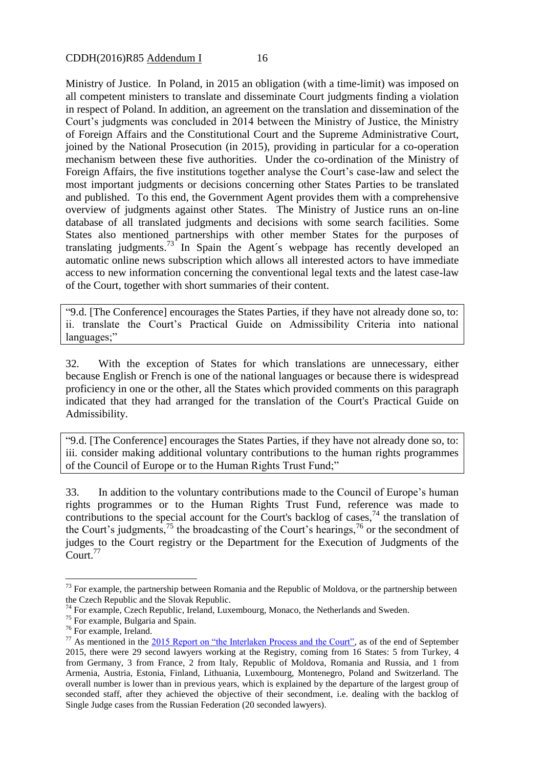Ministry of Justice. In Poland, in 2015 an obligation (with a time-limit) was imposed on all competent ministers to translate and disseminate Court judgments finding a violation in respect of Poland. In addition, an agreement on the translation and dissemination of the Court's judgments was concluded in 2014 between the Ministry of Justice, the Ministry of Foreign Affairs and the Constitutional Court and the Supreme Administrative Court, joined by the National Prosecution (in 2015), providing in particular for a co-operation mechanism between these five authorities. Under the co-ordination of the Ministry of Foreign Affairs, the five institutions together analyse the Court's case-law and select the most important judgments or decisions concerning other States Parties to be translated and published. To this end, the Government Agent provides them with a comprehensive overview of judgments against other States. The Ministry of Justice runs an on-line database of all translated judgments and decisions with some search facilities. Some States also mentioned partnerships with other member States for the purposes of translating judgments.<sup>73</sup> In Spain the Agent's webpage has recently developed an automatic online news subscription which allows all interested actors to have immediate access to new information concerning the conventional legal texts and the latest case-law of the Court, together with short summaries of their content.

"9.d. [The Conference] encourages the States Parties, if they have not already done so, to: ii. translate the Court's Practical Guide on Admissibility Criteria into national languages;"

32. With the exception of States for which translations are unnecessary, either because English or French is one of the national languages or because there is widespread proficiency in one or the other, all the States which provided comments on this paragraph indicated that they had arranged for the translation of the Court's Practical Guide on Admissibility.

"9.d. [The Conference] encourages the States Parties, if they have not already done so, to: iii. consider making additional voluntary contributions to the human rights programmes of the Council of Europe or to the Human Rights Trust Fund;"

33. In addition to the voluntary contributions made to the Council of Europe's human rights programmes or to the Human Rights Trust Fund, reference was made to contributions to the special account for the Court's backlog of cases,  $74$  the translation of the Court's judgments,<sup>75</sup> the broadcasting of the Court's hearings,<sup>76</sup> or the secondment of judges to the Court registry or the Department for the Execution of Judgments of the  $C$ ourt.<sup>77</sup>

 $73$  For example, the partnership between Romania and the Republic of Moldova, or the partnership between the Czech Republic and the Slovak Republic.

 $74$  For example, Czech Republic, Ireland, Luxembourg, Monaco, the Netherlands and Sweden.

<sup>&</sup>lt;sup>75</sup> For example, Bulgaria and Spain.

<sup>76</sup> For example, Ireland.

 $77$  As mentioned in the  $2015$  Report on "the Interlaken Process and the Court", as of the end of September 2015, there were 29 second lawyers working at the Registry, coming from 16 States: 5 from Turkey, 4 from Germany, 3 from France, 2 from Italy, Republic of Moldova, Romania and Russia, and 1 from Armenia, Austria, Estonia, Finland, Lithuania, Luxembourg, Montenegro, Poland and Switzerland. The overall number is lower than in previous years, which is explained by the departure of the largest group of seconded staff, after they achieved the objective of their secondment, i.e. dealing with the backlog of Single Judge cases from the Russian Federation (20 seconded lawyers).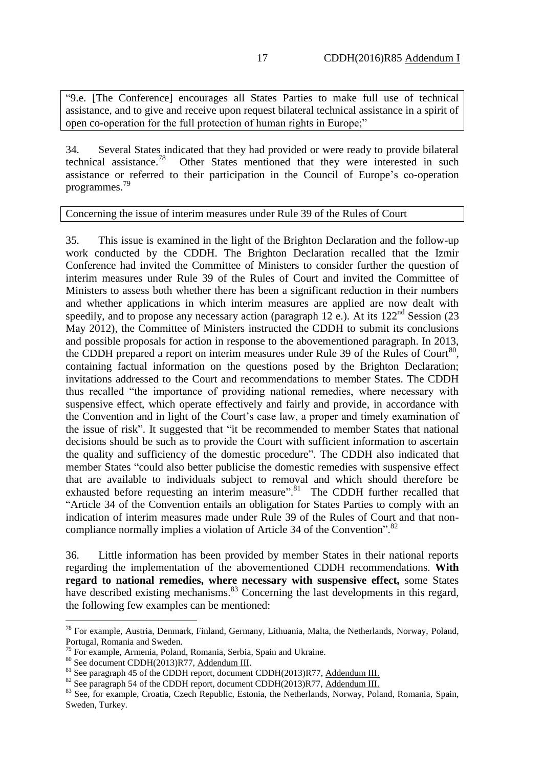"9.e. [The Conference] encourages all States Parties to make full use of technical assistance, and to give and receive upon request bilateral technical assistance in a spirit of open co-operation for the full protection of human rights in Europe;"

34. Several States indicated that they had provided or were ready to provide bilateral technical assistance. Other States mentioned that they were interested in such assistance or referred to their participation in the Council of Europe's co-operation programmes. 79

#### Concerning the issue of interim measures under Rule 39 of the Rules of Court

35. This issue is examined in the light of the Brighton Declaration and the follow-up work conducted by the CDDH. The Brighton Declaration recalled that the Izmir Conference had invited the Committee of Ministers to consider further the question of interim measures under Rule 39 of the Rules of Court and invited the Committee of Ministers to assess both whether there has been a significant reduction in their numbers and whether applications in which interim measures are applied are now dealt with speedily, and to propose any necessary action (paragraph 12 e.). At its  $122<sup>nd</sup>$  Session (23) May 2012), the Committee of Ministers instructed the CDDH to submit its conclusions and possible proposals for action in response to the abovementioned paragraph. In 2013, the CDDH prepared a report on interim measures under Rule 39 of the Rules of Court $^{80}$ , containing factual information on the questions posed by the Brighton Declaration; invitations addressed to the Court and recommendations to member States. The CDDH thus recalled "the importance of providing national remedies, where necessary with suspensive effect, which operate effectively and fairly and provide, in accordance with the Convention and in light of the Court's case law, a proper and timely examination of the issue of risk". It suggested that "it be recommended to member States that national decisions should be such as to provide the Court with sufficient information to ascertain the quality and sufficiency of the domestic procedure". The CDDH also indicated that member States "could also better publicise the domestic remedies with suspensive effect that are available to individuals subject to removal and which should therefore be exhausted before requesting an interim measure".<sup>81</sup> The CDDH further recalled that "Article 34 of the Convention entails an obligation for States Parties to comply with an indication of interim measures made under Rule 39 of the Rules of Court and that noncompliance normally implies a violation of Article 34 of the Convention".<sup>82</sup>

36. Little information has been provided by member States in their national reports regarding the implementation of the abovementioned CDDH recommendations. **With regard to national remedies, where necessary with suspensive effect,** some States have described existing mechanisms.<sup>83</sup> Concerning the last developments in this regard, the following few examples can be mentioned:

 $78$  For example, Austria, Denmark, Finland, Germany, Lithuania, Malta, the Netherlands, Norway, Poland, Portugal, Romania and Sweden.

 $79$  For example, Armenia, Poland, Romania, Serbia, Spain and Ukraine.

<sup>80</sup> See document CDDH(2013)R77, Addendum III.

<sup>&</sup>lt;sup>81</sup> See paragraph 45 of the CDDH report, document CDDH(2013)R77, Addendum III.

 $82$  See paragraph 54 of the CDDH report, document CDDH(2013)R77, Addendum III.

<sup>&</sup>lt;sup>83</sup> See, for example, Croatia, Czech Republic, Estonia, the Netherlands, Norway, Poland, Romania, Spain, Sweden, Turkey.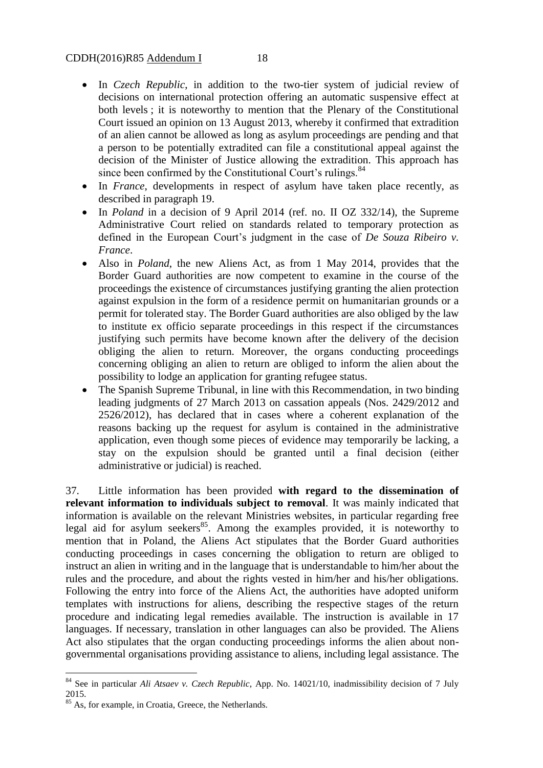#### CDDH(2016)R85 Addendum I 18

- In *Czech Republic*, in addition to the two-tier system of judicial review of decisions on international protection offering an automatic suspensive effect at both levels ; it is noteworthy to mention that the Plenary of the Constitutional Court issued an opinion on 13 August 2013, whereby it confirmed that extradition of an alien cannot be allowed as long as asylum proceedings are pending and that a person to be potentially extradited can file a constitutional appeal against the decision of the Minister of Justice allowing the extradition. This approach has since been confirmed by the Constitutional Court's rulings.<sup>84</sup>
- In *France*, developments in respect of asylum have taken place recently, as described in paragraph 19.
- In *Poland* in a decision of 9 April 2014 (ref. no. II OZ 332/14), the Supreme Administrative Court relied on standards related to temporary protection as defined in the European Court's judgment in the case of *De Souza Ribeiro v. France*.
- Also in *Poland*, the new Aliens Act, as from 1 May 2014, provides that the Border Guard authorities are now competent to examine in the course of the proceedings the existence of circumstances justifying granting the alien protection against expulsion in the form of a residence permit on humanitarian grounds or a permit for tolerated stay. The Border Guard authorities are also obliged by the law to institute ex officio separate proceedings in this respect if the circumstances justifying such permits have become known after the delivery of the decision obliging the alien to return. Moreover, the organs conducting proceedings concerning obliging an alien to return are obliged to inform the alien about the possibility to lodge an application for granting refugee status.
- The Spanish Supreme Tribunal, in line with this Recommendation, in two binding leading judgments of 27 March 2013 on cassation appeals (Nos. 2429/2012 and 2526/2012), has declared that in cases where a coherent explanation of the reasons backing up the request for asylum is contained in the administrative application, even though some pieces of evidence may temporarily be lacking, a stay on the expulsion should be granted until a final decision (either administrative or judicial) is reached.

37. Little information has been provided **with regard to the dissemination of relevant information to individuals subject to removal**. It was mainly indicated that information is available on the relevant Ministries websites, in particular regarding free legal aid for asylum seekers<sup>85</sup>. Among the examples provided, it is noteworthy to mention that in Poland, the Aliens Act stipulates that the Border Guard authorities conducting proceedings in cases concerning the obligation to return are obliged to instruct an alien in writing and in the language that is understandable to him/her about the rules and the procedure, and about the rights vested in him/her and his/her obligations. Following the entry into force of the Aliens Act, the authorities have adopted uniform templates with instructions for aliens, describing the respective stages of the return procedure and indicating legal remedies available. The instruction is available in 17 languages. If necessary, translation in other languages can also be provided. The Aliens Act also stipulates that the organ conducting proceedings informs the alien about nongovernmental organisations providing assistance to aliens, including legal assistance. The

<sup>84</sup> See in particular *Ali Atsaev v. Czech Republic*, App. No. 14021/10, inadmissibility decision of 7 July 2015.

<sup>&</sup>lt;sup>85</sup> As, for example, in Croatia, Greece, the Netherlands.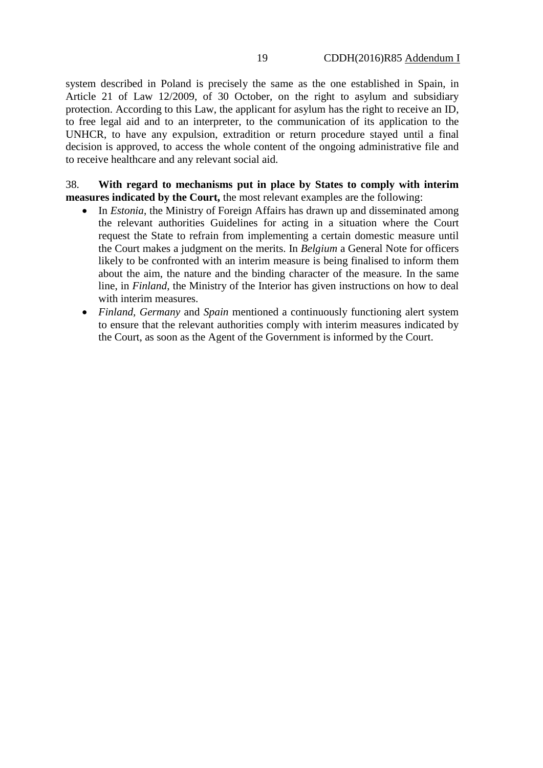system described in Poland is precisely the same as the one established in Spain, in Article 21 of Law 12/2009, of 30 October, on the right to asylum and subsidiary protection. According to this Law, the applicant for asylum has the right to receive an ID, to free legal aid and to an interpreter, to the communication of its application to the UNHCR, to have any expulsion, extradition or return procedure stayed until a final decision is approved, to access the whole content of the ongoing administrative file and to receive healthcare and any relevant social aid.

38. **With regard to mechanisms put in place by States to comply with interim measures indicated by the Court,** the most relevant examples are the following:

- In *Estonia*, the Ministry of Foreign Affairs has drawn up and disseminated among the relevant authorities Guidelines for acting in a situation where the Court request the State to refrain from implementing a certain domestic measure until the Court makes a judgment on the merits. In *Belgium* a General Note for officers likely to be confronted with an interim measure is being finalised to inform them about the aim, the nature and the binding character of the measure. In the same line, in *Finland*, the Ministry of the Interior has given instructions on how to deal with interim measures.
- *Finland, Germany* and *Spain* mentioned a continuously functioning alert system to ensure that the relevant authorities comply with interim measures indicated by the Court, as soon as the Agent of the Government is informed by the Court.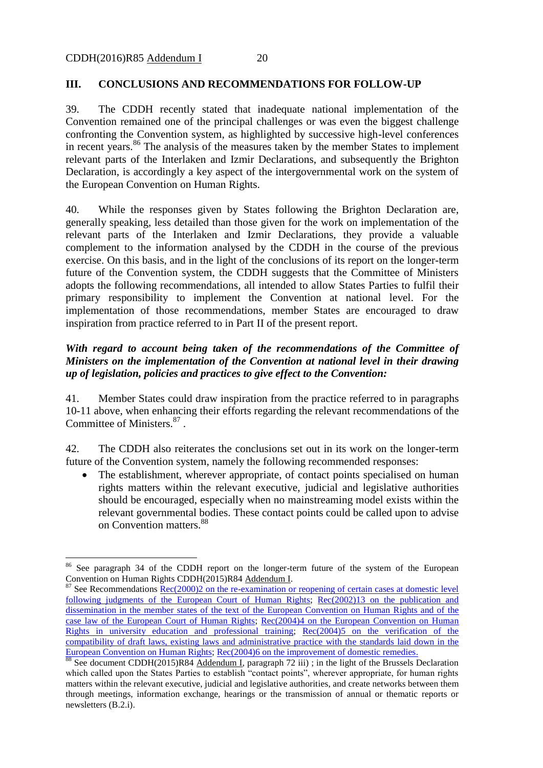1

#### **III. CONCLUSIONS AND RECOMMENDATIONS FOR FOLLOW-UP**

39. The CDDH recently stated that inadequate national implementation of the Convention remained one of the principal challenges or was even the biggest challenge confronting the Convention system, as highlighted by successive high-level conferences in recent years.<sup>86</sup> The analysis of the measures taken by the member States to implement relevant parts of the Interlaken and Izmir Declarations, and subsequently the Brighton Declaration, is accordingly a key aspect of the intergovernmental work on the system of the European Convention on Human Rights.

40. While the responses given by States following the Brighton Declaration are, generally speaking, less detailed than those given for the work on implementation of the relevant parts of the Interlaken and Izmir Declarations, they provide a valuable complement to the information analysed by the CDDH in the course of the previous exercise. On this basis, and in the light of the conclusions of its report on the longer-term future of the Convention system, the CDDH suggests that the Committee of Ministers adopts the following recommendations, all intended to allow States Parties to fulfil their primary responsibility to implement the Convention at national level. For the implementation of those recommendations, member States are encouraged to draw inspiration from practice referred to in Part II of the present report.

## *With regard to account being taken of the recommendations of the Committee of Ministers on the implementation of the Convention at national level in their drawing up of legislation, policies and practices to give effect to the Convention:*

41. Member States could draw inspiration from the practice referred to in paragraphs 10-11 above, when enhancing their efforts regarding the relevant recommendations of the Committee of Ministers. 87 .

42. The CDDH also reiterates the conclusions set out in its work on the longer-term future of the Convention system, namely the following recommended responses:

• The establishment, wherever appropriate, of contact points specialised on human rights matters within the relevant executive, judicial and legislative authorities should be encouraged, especially when no mainstreaming model exists within the relevant governmental bodies. These contact points could be called upon to advise on Convention matters.<sup>88</sup>

<sup>&</sup>lt;sup>86</sup> See paragraph 34 of the CDDH report on the longer-term future of the system of the European Convention on Human Rights CDDH(2015)R84 Addendum I.

 $87$  See Recommendations  $Rec(2000)$  on the re-examination or reopening of certain cases at domestic level following judgments of the [European Court of Human Rights;](https://search.coe.int/cm/Pages/result_details.aspx?ObjectID=09000016805e2f06) Rec(2002)13 on the publication and [dissemination in the member states of the text of the European Convention on Human Rights and of the](https://wcd.coe.int/ViewDoc.jsp?id=331657&Sector=secCM&Language=lanEnglish&Ver=original)  [case law of the European Court of Human Rights;](https://wcd.coe.int/ViewDoc.jsp?id=331657&Sector=secCM&Language=lanEnglish&Ver=original) [Rec\(2004\)4 on the European Convention on Human](https://wcd.coe.int/ViewDoc.jsp?Ref=Rec%282004%294&Sector=secCM&Language=lanEnglish&Ver=original)  [Rights in university education and professional training;](https://wcd.coe.int/ViewDoc.jsp?Ref=Rec%282004%294&Sector=secCM&Language=lanEnglish&Ver=original) [Rec\(2004\)5 on the verification of the](https://wcd.coe.int/ViewDoc.jsp?Ref=Rec%282004%295&Sector=secCM&Language=lanEnglish&Ver=original)  [compatibility of draft laws, existing laws and administrative practice with the standards laid down in the](https://wcd.coe.int/ViewDoc.jsp?Ref=Rec%282004%295&Sector=secCM&Language=lanEnglish&Ver=original)  [European Convention on Human Rights;](https://wcd.coe.int/ViewDoc.jsp?Ref=Rec%282004%295&Sector=secCM&Language=lanEnglish&Ver=original) [Rec\(2004\)6 on the improvement of domestic remedies.](https://wcd.coe.int/ViewDoc.jsp?Ref=Rec%282004%296&Sector=secCM&Language=lanEnglish&Ver=original)

<sup>&</sup>lt;sup>88</sup> See document CDDH(2015)R84 Addendum I, paragraph 72 iii); in the light of the Brussels Declaration which called upon the States Parties to establish "contact points", wherever appropriate, for human rights matters within the relevant executive, judicial and legislative authorities, and create networks between them through meetings, information exchange, hearings or the transmission of annual or thematic reports or newsletters (B.2.i).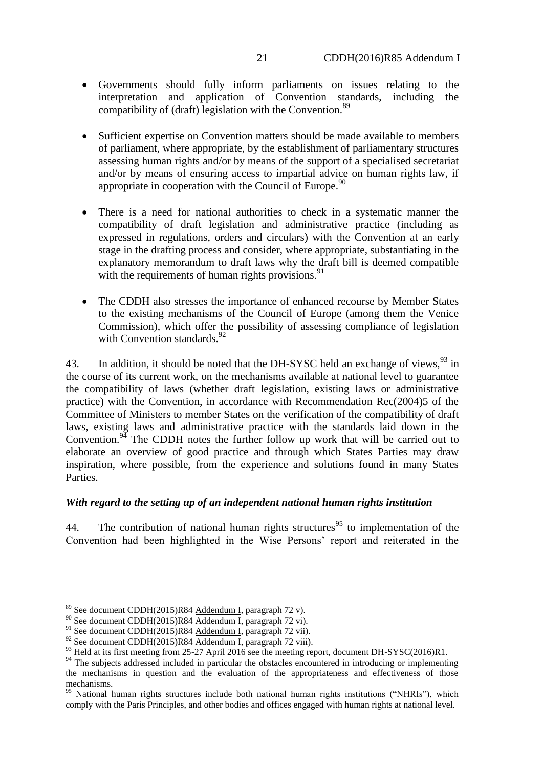- Governments should fully inform parliaments on issues relating to the interpretation and application of Convention standards, including the compatibility of (draft) legislation with the Convention.<sup>89</sup>
- Sufficient expertise on Convention matters should be made available to members of parliament, where appropriate, by the establishment of parliamentary structures assessing human rights and/or by means of the support of a specialised secretariat and/or by means of ensuring access to impartial advice on human rights law, if appropriate in cooperation with the Council of Europe.<sup>90</sup>
- There is a need for national authorities to check in a systematic manner the compatibility of draft legislation and administrative practice (including as expressed in regulations, orders and circulars) with the Convention at an early stage in the drafting process and consider, where appropriate, substantiating in the explanatory memorandum to draft laws why the draft bill is deemed compatible with the requirements of human rights provisions.  $91$
- The CDDH also stresses the importance of enhanced recourse by Member States to the existing mechanisms of the Council of Europe (among them the Venice Commission), which offer the possibility of assessing compliance of legislation with Convention standards.<sup>92</sup>

43. In addition, it should be noted that the DH-SYSC held an exchange of views,  $^{93}$  in the course of its current work, on the mechanisms available at national level to guarantee the compatibility of laws (whether draft legislation, existing laws or administrative practice) with the Convention, in accordance with Recommendation Rec(2004)5 of the Committee of Ministers to member States on the verification of the compatibility of draft laws, existing laws and administrative practice with the standards laid down in the Convention.<sup>94</sup> The CDDH notes the further follow up work that will be carried out to elaborate an overview of good practice and through which States Parties may draw inspiration, where possible, from the experience and solutions found in many States Parties.

## *With regard to the setting up of an independent national human rights institution*

44. The contribution of national human rights structures<sup>95</sup> to implementation of the Convention had been highlighted in the Wise Persons' report and reiterated in the

<sup>&</sup>lt;sup>89</sup> See document CDDH(2015)R84 Addendum I, paragraph 72 v).

<sup>&</sup>lt;sup>90</sup> See document CDDH(2015)R84 Addendum I, paragraph 72 vi).

<sup>&</sup>lt;sup>91</sup> See document CDDH(2015)R84 Addendum I, paragraph 72 vii).

 $92$  See document CDDH(2015)R84 Addendum I, paragraph 72 viii).

<sup>&</sup>lt;sup>93</sup> Held at its first meeting from 25-27 April 2016 see the meeting report, document DH-SYSC(2016)R1.

<sup>&</sup>lt;sup>94</sup> The subjects addressed included in particular the obstacles encountered in introducing or implementing the mechanisms in question and the evaluation of the appropriateness and effectiveness of those mechanisms.

<sup>&</sup>lt;sup>95</sup> National human rights structures include both national human rights institutions ("NHRIs"), which comply with the Paris Principles, and other bodies and offices engaged with human rights at national level.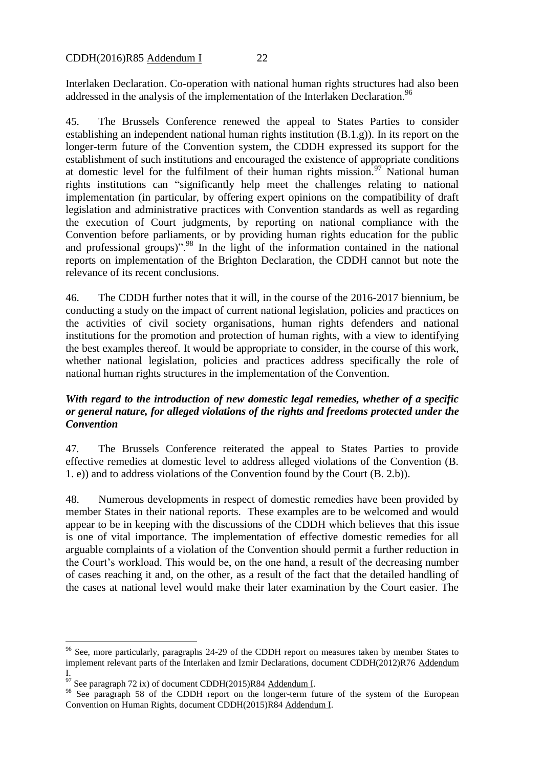Interlaken Declaration. Co-operation with national human rights structures had also been addressed in the analysis of the implementation of the Interlaken Declaration.<sup>96</sup>

45. The Brussels Conference renewed the appeal to States Parties to consider establishing an independent national human rights institution (B.1.g)). In its report on the longer-term future of the Convention system, the CDDH expressed its support for the establishment of such institutions and encouraged the existence of appropriate conditions at domestic level for the fulfilment of their human rights mission.<sup>97</sup> National human rights institutions can "significantly help meet the challenges relating to national implementation (in particular, by offering expert opinions on the compatibility of draft legislation and administrative practices with Convention standards as well as regarding the execution of Court judgments, by reporting on national compliance with the Convention before parliaments, or by providing human rights education for the public and professional groups)".<sup>98</sup> In the light of the information contained in the national reports on implementation of the Brighton Declaration, the CDDH cannot but note the relevance of its recent conclusions.

46. The CDDH further notes that it will, in the course of the 2016-2017 biennium, be conducting a study on the impact of current national legislation, policies and practices on the activities of civil society organisations, human rights defenders and national institutions for the promotion and protection of human rights, with a view to identifying the best examples thereof. It would be appropriate to consider, in the course of this work, whether national legislation, policies and practices address specifically the role of national human rights structures in the implementation of the Convention.

# *With regard to the introduction of new domestic legal remedies, whether of a specific or general nature, for alleged violations of the rights and freedoms protected under the Convention*

47*.* The Brussels Conference reiterated the appeal to States Parties to provide effective remedies at domestic level to address alleged violations of the Convention (B. 1. e)) and to address violations of the Convention found by the Court (B. 2.b)).

48. Numerous developments in respect of domestic remedies have been provided by member States in their national reports. These examples are to be welcomed and would appear to be in keeping with the discussions of the CDDH which believes that this issue is one of vital importance. The implementation of effective domestic remedies for all arguable complaints of a violation of the Convention should permit a further reduction in the Court's workload. This would be, on the one hand, a result of the decreasing number of cases reaching it and, on the other, as a result of the fact that the detailed handling of the cases at national level would make their later examination by the Court easier. The

 $96$  See, more particularly, paragraphs 24-29 of the CDDH report on measures taken by member States to implement relevant parts of the Interlaken and Izmir Declarations, document CDDH(2012)R76 Addendum I.

 $97$  See paragraph 72 ix) of document CDDH(2015)R84 Addendum I.

<sup>98</sup> See paragraph 58 of the CDDH report on the longer-term future of the system of the European Convention on Human Rights, document CDDH(2015)R84 Addendum I.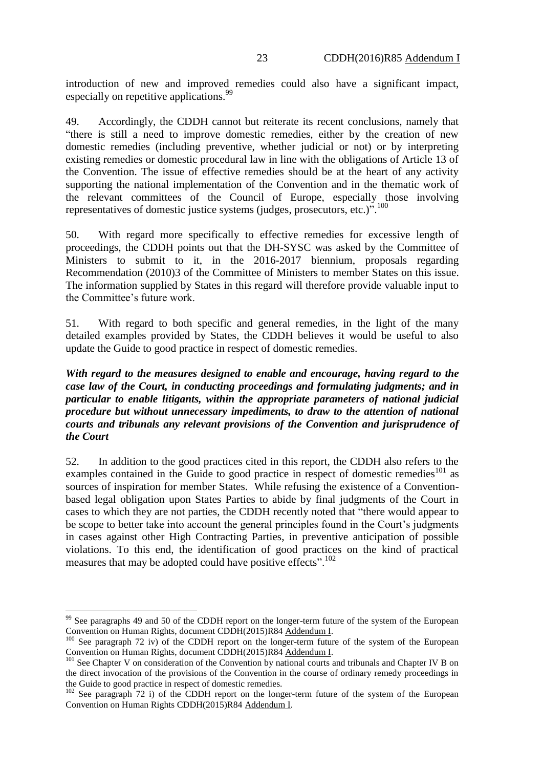introduction of new and improved remedies could also have a significant impact, especially on repetitive applications.<sup>99</sup>

49. Accordingly, the CDDH cannot but reiterate its recent conclusions, namely that "there is still a need to improve domestic remedies, either by the creation of new domestic remedies (including preventive, whether judicial or not) or by interpreting existing remedies or domestic procedural law in line with the obligations of Article 13 of the Convention. The issue of effective remedies should be at the heart of any activity supporting the national implementation of the Convention and in the thematic work of the relevant committees of the Council of Europe, especially those involving representatives of domestic justice systems (judges, prosecutors, etc.)".<sup>100</sup>

50. With regard more specifically to effective remedies for excessive length of proceedings, the CDDH points out that the DH-SYSC was asked by the Committee of Ministers to submit to it, in the 2016-2017 biennium, proposals regarding Recommendation (2010)3 of the Committee of Ministers to member States on this issue. The information supplied by States in this regard will therefore provide valuable input to the Committee's future work.

51. With regard to both specific and general remedies, in the light of the many detailed examples provided by States, the CDDH believes it would be useful to also update the Guide to good practice in respect of domestic remedies.

*With regard to the measures designed to enable and encourage, having regard to the case law of the Court, in conducting proceedings and formulating judgments; and in particular to enable litigants, within the appropriate parameters of national judicial procedure but without unnecessary impediments, to draw to the attention of national courts and tribunals any relevant provisions of the Convention and jurisprudence of the Court*

52. In addition to the good practices cited in this report, the CDDH also refers to the examples contained in the Guide to good practice in respect of domestic remedies<sup>101</sup> as sources of inspiration for member States. While refusing the existence of a Conventionbased legal obligation upon States Parties to abide by final judgments of the Court in cases to which they are not parties, the CDDH recently noted that "there would appear to be scope to better take into account the general principles found in the Court's judgments in cases against other High Contracting Parties, in preventive anticipation of possible violations. To this end, the identification of good practices on the kind of practical measures that may be adopted could have positive effects".  $102$ 

<sup>&</sup>lt;sup>99</sup> See paragraphs 49 and 50 of the CDDH report on the longer-term future of the system of the European Convention on Human Rights, document CDDH(2015)R84 Addendum I.

<sup>&</sup>lt;sup>100</sup> See paragraph 72 iv) of the CDDH report on the longer-term future of the system of the European Convention on Human Rights, document CDDH(2015)R84 Addendum I.

<sup>&</sup>lt;sup>101</sup> See Chapter V on consideration of the Convention by national courts and tribunals and Chapter IV B on the direct invocation of the provisions of the Convention in the course of ordinary remedy proceedings in the Guide to good practice in respect of domestic remedies.

 $102$  See paragraph 72 i) of the CDDH report on the longer-term future of the system of the European Convention on Human Rights CDDH(2015)R84 Addendum I.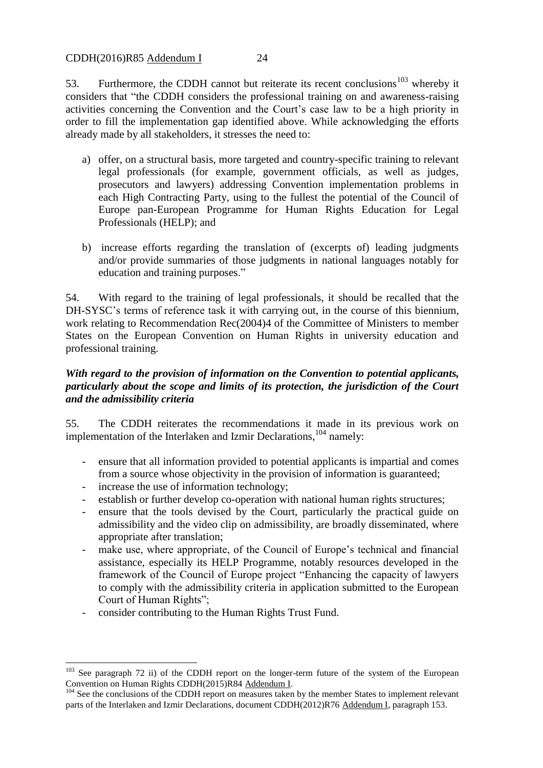CDDH(2016)R85 Addendum I 24

53. Furthermore, the CDDH cannot but reiterate its recent conclusions<sup>103</sup> whereby it considers that "the CDDH considers the professional training on and awareness-raising activities concerning the Convention and the Court's case law to be a high priority in order to fill the implementation gap identified above. While acknowledging the efforts already made by all stakeholders, it stresses the need to:

- a) offer, on a structural basis, more targeted and country-specific training to relevant legal professionals (for example, government officials, as well as judges, prosecutors and lawyers) addressing Convention implementation problems in each High Contracting Party, using to the fullest the potential of the Council of Europe pan-European Programme for Human Rights Education for Legal Professionals (HELP); and
- b) increase efforts regarding the translation of (excerpts of) leading judgments and/or provide summaries of those judgments in national languages notably for education and training purposes."

54. With regard to the training of legal professionals, it should be recalled that the DH-SYSC's terms of reference task it with carrying out, in the course of this biennium, work relating to Recommendation Rec(2004)4 of the Committee of Ministers to member States on the European Convention on Human Rights in university education and professional training.

# *With regard to the provision of information on the Convention to potential applicants, particularly about the scope and limits of its protection, the jurisdiction of the Court and the admissibility criteria*

55. The CDDH reiterates the recommendations it made in its previous work on implementation of the Interlaken and Izmir Declarations, <sup>104</sup> namely:

- ensure that all information provided to potential applicants is impartial and comes from a source whose objectivity in the provision of information is guaranteed;
- increase the use of information technology;
- establish or further develop co-operation with national human rights structures;
- ensure that the tools devised by the Court, particularly the practical guide on admissibility and the video clip on admissibility, are broadly disseminated, where appropriate after translation;
- make use, where appropriate, of the Council of Europe's technical and financial assistance, especially its HELP Programme, notably resources developed in the framework of the Council of Europe project "Enhancing the capacity of lawyers to comply with the admissibility criteria in application submitted to the European Court of Human Rights";
- consider contributing to the Human Rights Trust Fund.

<sup>&</sup>lt;sup>103</sup> See paragraph 72 ii) of the CDDH report on the longer-term future of the system of the European Convention on Human Rights CDDH(2015)R84 Addendum I.

 $104$  See the conclusions of the CDDH report on measures taken by the member States to implement relevant parts of the Interlaken and Izmir Declarations, document CDDH(2012)R76 Addendum I, paragraph 153.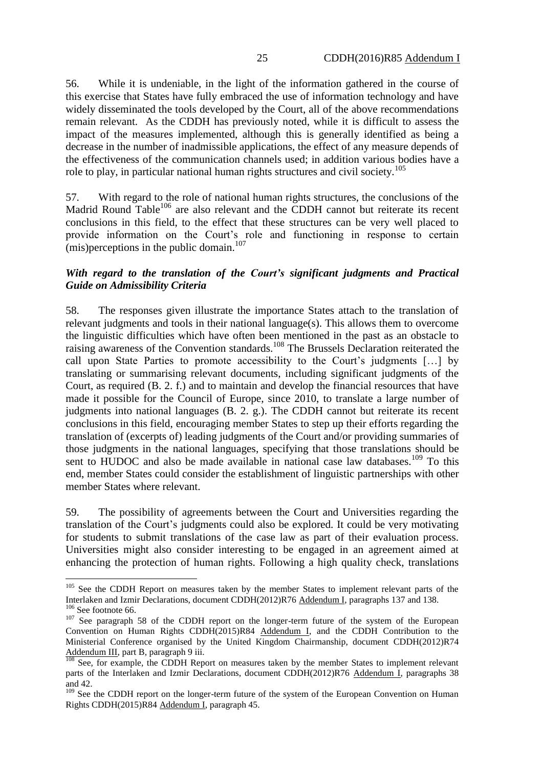56. While it is undeniable, in the light of the information gathered in the course of this exercise that States have fully embraced the use of information technology and have widely disseminated the tools developed by the Court, all of the above recommendations remain relevant. As the CDDH has previously noted, while it is difficult to assess the impact of the measures implemented, although this is generally identified as being a decrease in the number of inadmissible applications, the effect of any measure depends of the effectiveness of the communication channels used; in addition various bodies have a role to play, in particular national human rights structures and civil society.<sup>105</sup>

57. With regard to the role of national human rights structures, the conclusions of the Madrid Round Table<sup>106</sup> are also relevant and the CDDH cannot but reiterate its recent conclusions in this field, to the effect that these structures can be very well placed to provide information on the Court's role and functioning in response to certain (mis) perceptions in the public domain.<sup>107</sup>

## *With regard to the translation of the Court's significant judgments and Practical Guide on Admissibility Criteria*

58. The responses given illustrate the importance States attach to the translation of relevant judgments and tools in their national language(s). This allows them to overcome the linguistic difficulties which have often been mentioned in the past as an obstacle to raising awareness of the Convention standards.<sup>108</sup> The Brussels Declaration reiterated the call upon State Parties to promote accessibility to the Court's judgments […] by translating or summarising relevant documents, including significant judgments of the Court, as required (B. 2. f.) and to maintain and develop the financial resources that have made it possible for the Council of Europe, since 2010, to translate a large number of judgments into national languages (B. 2. g.). The CDDH cannot but reiterate its recent conclusions in this field, encouraging member States to step up their efforts regarding the translation of (excerpts of) leading judgments of the Court and/or providing summaries of those judgments in the national languages, specifying that those translations should be sent to HUDOC and also be made available in national case law databases.<sup>109</sup> To this end, member States could consider the establishment of linguistic partnerships with other member States where relevant.

59. The possibility of agreements between the Court and Universities regarding the translation of the Court's judgments could also be explored. It could be very motivating for students to submit translations of the case law as part of their evaluation process. Universities might also consider interesting to be engaged in an agreement aimed at enhancing the protection of human rights. Following a high quality check, translations

<sup>&</sup>lt;sup>105</sup> See the CDDH Report on measures taken by the member States to implement relevant parts of the Interlaken and Izmir Declarations, document CDDH(2012)R76 Addendum I, paragraphs 137 and 138.  $106$  See footnote 66.

<sup>&</sup>lt;sup>107</sup> See paragraph 58 of the CDDH report on the longer-term future of the system of the European Convention on Human Rights CDDH(2015)R84 Addendum I, and the CDDH Contribution to the Ministerial Conference organised by the United Kingdom Chairmanship, document CDDH(2012)R74 Addendum III, part B, paragraph 9 iii.

 $108$  See, for example, the CDDH Report on measures taken by the member States to implement relevant parts of the Interlaken and Izmir Declarations, document CDDH(2012)R76 Addendum I, paragraphs 38 and 42.

<sup>&</sup>lt;sup>109</sup> See the CDDH report on the longer-term future of the system of the European Convention on Human Rights CDDH(2015)R84 Addendum I, paragraph 45.